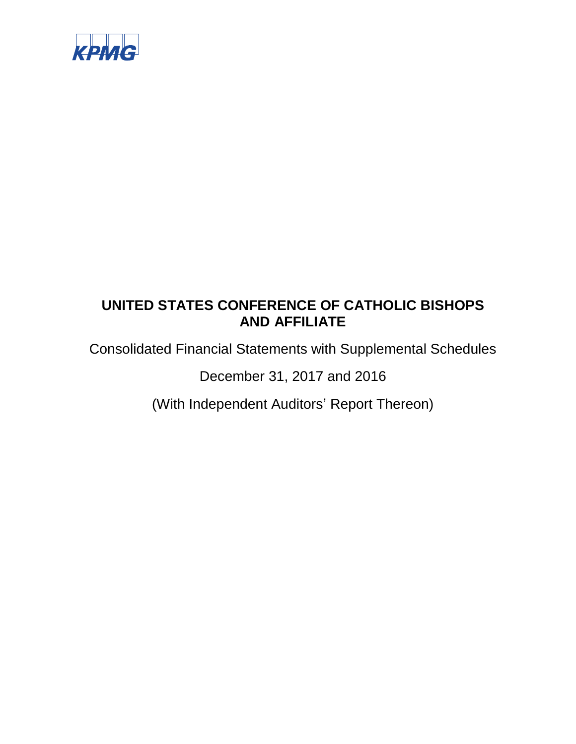

Consolidated Financial Statements with Supplemental Schedules

December 31, 2017 and 2016

(With Independent Auditors' Report Thereon)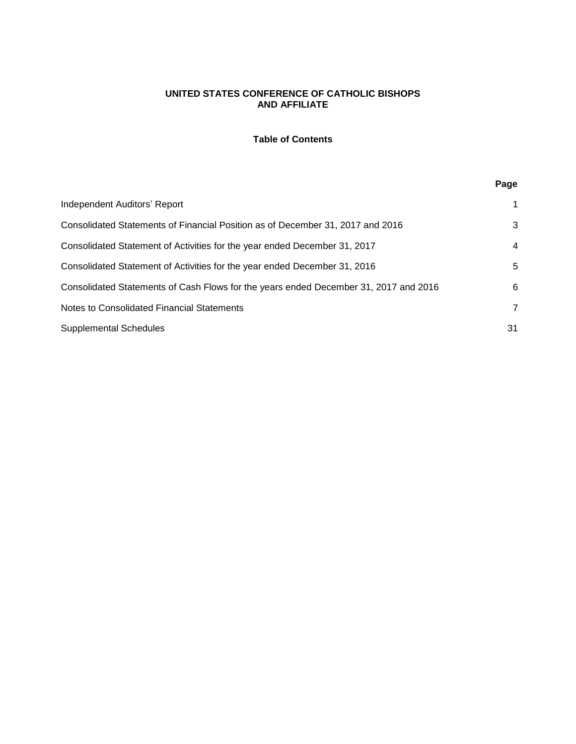# **Table of Contents**

# **Page**

| Independent Auditors' Report                                                         |    |
|--------------------------------------------------------------------------------------|----|
| Consolidated Statements of Financial Position as of December 31, 2017 and 2016       | 3  |
| Consolidated Statement of Activities for the year ended December 31, 2017            | 4  |
| Consolidated Statement of Activities for the year ended December 31, 2016            | 5  |
| Consolidated Statements of Cash Flows for the years ended December 31, 2017 and 2016 | 6  |
| Notes to Consolidated Financial Statements                                           | 7  |
| <b>Supplemental Schedules</b>                                                        | 31 |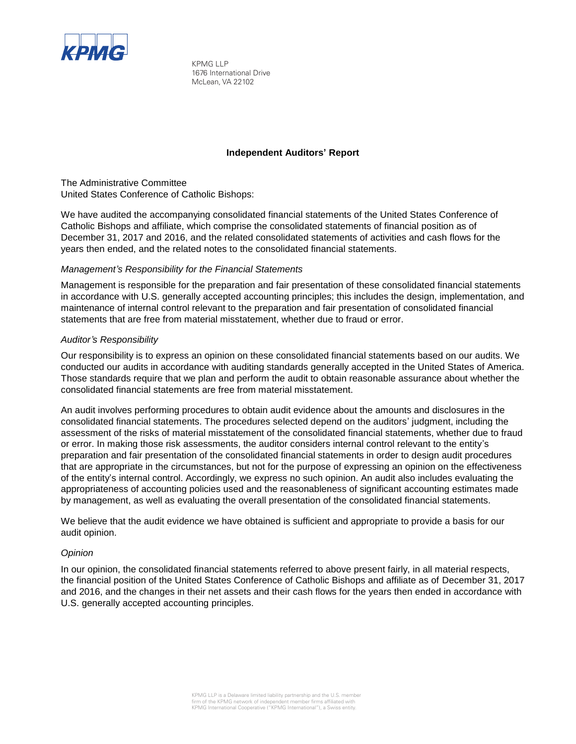

KPMG LLP 1676 International Drive McLean, VA 22102

#### **Independent Auditors' Report**

The Administrative Committee United States Conference of Catholic Bishops:

We have audited the accompanying consolidated financial statements of the United States Conference of Catholic Bishops and affiliate, which comprise the consolidated statements of financial position as of December 31, 2017 and 2016, and the related consolidated statements of activities and cash flows for the years then ended, and the related notes to the consolidated financial statements.

# *Management's Responsibility for the Financial Statements*

Management is responsible for the preparation and fair presentation of these consolidated financial statements in accordance with U.S. generally accepted accounting principles; this includes the design, implementation, and maintenance of internal control relevant to the preparation and fair presentation of consolidated financial statements that are free from material misstatement, whether due to fraud or error.

#### *Auditor's Responsibility*

Our responsibility is to express an opinion on these consolidated financial statements based on our audits. We conducted our audits in accordance with auditing standards generally accepted in the United States of America. Those standards require that we plan and perform the audit to obtain reasonable assurance about whether the consolidated financial statements are free from material misstatement.

An audit involves performing procedures to obtain audit evidence about the amounts and disclosures in the consolidated financial statements. The procedures selected depend on the auditors' judgment, including the assessment of the risks of material misstatement of the consolidated financial statements, whether due to fraud or error. In making those risk assessments, the auditor considers internal control relevant to the entity's preparation and fair presentation of the consolidated financial statements in order to design audit procedures that are appropriate in the circumstances, but not for the purpose of expressing an opinion on the effectiveness of the entity's internal control. Accordingly, we express no such opinion. An audit also includes evaluating the appropriateness of accounting policies used and the reasonableness of significant accounting estimates made by management, as well as evaluating the overall presentation of the consolidated financial statements.

We believe that the audit evidence we have obtained is sufficient and appropriate to provide a basis for our audit opinion.

#### *Opinion*

In our opinion, the consolidated financial statements referred to above present fairly, in all material respects, the financial position of the United States Conference of Catholic Bishops and affiliate as of December 31, 2017 and 2016, and the changes in their net assets and their cash flows for the years then ended in accordance with U.S. generally accepted accounting principles.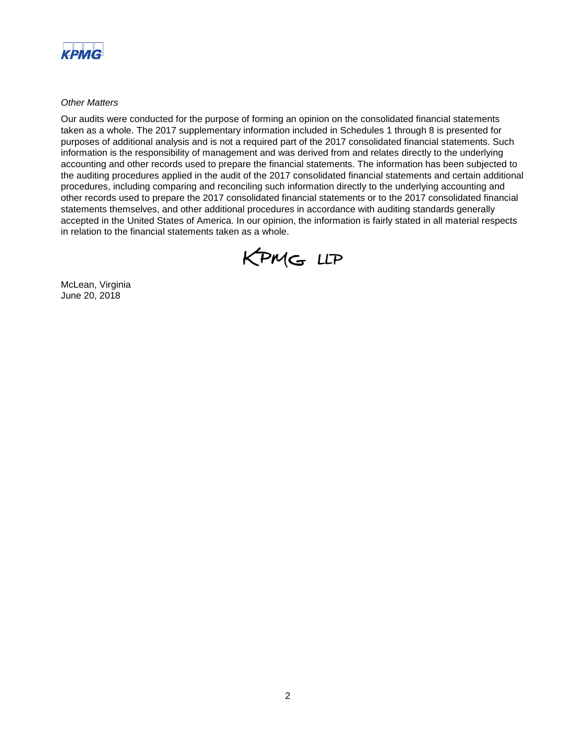

*Other Matters* 

Our audits were conducted for the purpose of forming an opinion on the consolidated financial statements taken as a whole. The 2017 supplementary information included in Schedules 1 through 8 is presented for purposes of additional analysis and is not a required part of the 2017 consolidated financial statements. Such information is the responsibility of management and was derived from and relates directly to the underlying accounting and other records used to prepare the financial statements. The information has been subjected to the auditing procedures applied in the audit of the 2017 consolidated financial statements and certain additional procedures, including comparing and reconciling such information directly to the underlying accounting and other records used to prepare the 2017 consolidated financial statements or to the 2017 consolidated financial statements themselves, and other additional procedures in accordance with auditing standards generally accepted in the United States of America. In our opinion, the information is fairly stated in all material respects in relation to the financial statements taken as a whole.



McLean, Virginia June 20, 2018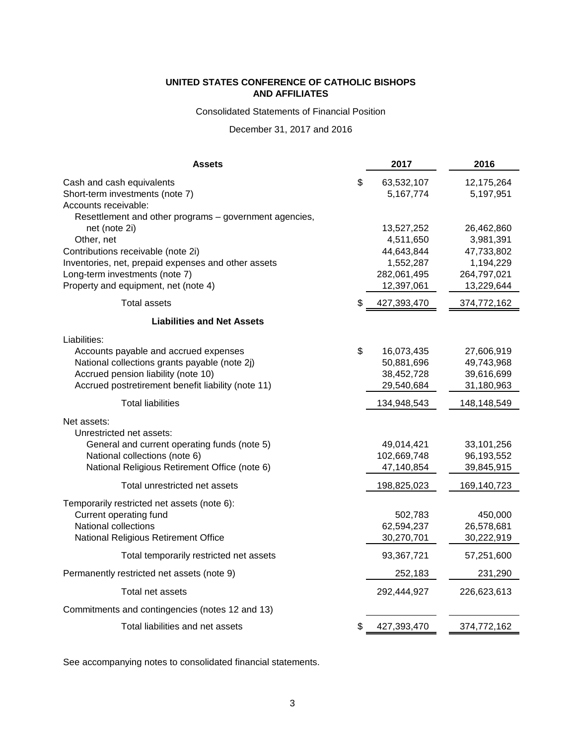Consolidated Statements of Financial Position

# December 31, 2017 and 2016

| Assets                                                                         | 2017                          | 2016                    |
|--------------------------------------------------------------------------------|-------------------------------|-------------------------|
| Cash and cash equivalents<br>Short-term investments (note 7)                   | \$<br>63,532,107<br>5,167,774 | 12,175,264<br>5,197,951 |
| Accounts receivable:<br>Resettlement and other programs - government agencies, |                               |                         |
| net (note 2i)                                                                  | 13,527,252                    | 26,462,860              |
| Other, net                                                                     | 4,511,650                     | 3,981,391               |
| Contributions receivable (note 2i)                                             | 44,643,844                    | 47,733,802              |
| Inventories, net, prepaid expenses and other assets                            | 1,552,287                     | 1,194,229               |
| Long-term investments (note 7)                                                 | 282,061,495                   | 264,797,021             |
| Property and equipment, net (note 4)                                           | 12,397,061                    | 13,229,644              |
| <b>Total assets</b>                                                            | \$<br>427,393,470             | 374,772,162             |
| <b>Liabilities and Net Assets</b>                                              |                               |                         |
| Liabilities:                                                                   |                               |                         |
| Accounts payable and accrued expenses                                          | \$<br>16,073,435              | 27,606,919              |
| National collections grants payable (note 2j)                                  | 50,881,696                    | 49,743,968              |
| Accrued pension liability (note 10)                                            | 38,452,728                    | 39,616,699              |
| Accrued postretirement benefit liability (note 11)                             | 29,540,684                    | 31,180,963              |
| <b>Total liabilities</b>                                                       | 134,948,543                   | 148,148,549             |
| Net assets:                                                                    |                               |                         |
| Unrestricted net assets:                                                       |                               |                         |
| General and current operating funds (note 5)                                   | 49,014,421                    | 33,101,256              |
| National collections (note 6)                                                  | 102,669,748                   | 96,193,552              |
| National Religious Retirement Office (note 6)                                  | 47,140,854                    | 39,845,915              |
| Total unrestricted net assets                                                  | 198,825,023                   | 169,140,723             |
| Temporarily restricted net assets (note 6):                                    |                               |                         |
| Current operating fund                                                         | 502,783                       | 450,000                 |
| National collections                                                           | 62,594,237                    | 26,578,681              |
| National Religious Retirement Office                                           | 30,270,701                    | 30,222,919              |
| Total temporarily restricted net assets                                        | 93,367,721                    | 57,251,600              |
| Permanently restricted net assets (note 9)                                     | 252,183                       | 231,290                 |
| Total net assets                                                               | 292,444,927                   | 226,623,613             |
| Commitments and contingencies (notes 12 and 13)                                |                               |                         |
| Total liabilities and net assets                                               | \$<br>427,393,470             | 374,772,162             |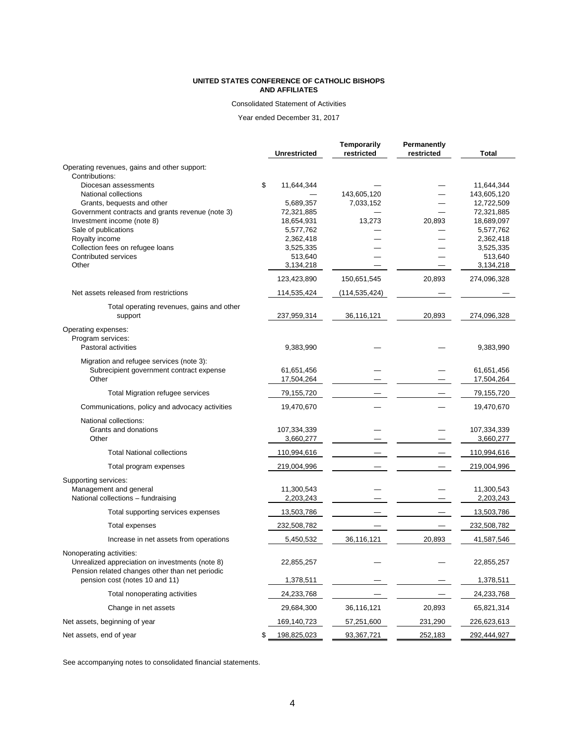#### Consolidated Statement of Activities

Year ended December 31, 2017

|                                                      | Unrestricted      | Temporarily<br>restricted | Permanently<br>restricted | <b>Total</b> |
|------------------------------------------------------|-------------------|---------------------------|---------------------------|--------------|
| Operating revenues, gains and other support:         |                   |                           |                           |              |
| Contributions:                                       |                   |                           |                           |              |
| Diocesan assessments                                 | \$<br>11,644,344  |                           |                           | 11,644,344   |
| National collections                                 |                   | 143,605,120               |                           | 143,605,120  |
| Grants, bequests and other                           | 5,689,357         | 7,033,152                 |                           | 12,722,509   |
| Government contracts and grants revenue (note 3)     | 72,321,885        |                           |                           | 72,321,885   |
| Investment income (note 8)                           | 18,654,931        | 13,273                    | 20,893                    | 18,689,097   |
| Sale of publications                                 | 5,577,762         |                           |                           | 5,577,762    |
| Royalty income                                       | 2,362,418         |                           |                           | 2,362,418    |
| Collection fees on refugee loans                     | 3,525,335         |                           |                           | 3,525,335    |
| Contributed services                                 | 513,640           |                           |                           | 513,640      |
| Other                                                | 3,134,218         |                           |                           | 3,134,218    |
|                                                      | 123,423,890       | 150,651,545               | 20,893                    | 274,096,328  |
| Net assets released from restrictions                | 114,535,424       | (114,535,424)             |                           |              |
| Total operating revenues, gains and other<br>support | 237,959,314       | 36,116,121                | 20,893                    | 274,096,328  |
| Operating expenses:                                  |                   |                           |                           |              |
| Program services:<br>Pastoral activities             | 9,383,990         |                           |                           | 9,383,990    |
| Migration and refugee services (note 3):             |                   |                           |                           |              |
| Subrecipient government contract expense             | 61,651,456        |                           |                           | 61,651,456   |
| Other                                                | 17,504,264        |                           |                           | 17,504,264   |
| Total Migration refugee services                     | 79,155,720        |                           |                           | 79,155,720   |
| Communications, policy and advocacy activities       | 19,470,670        |                           |                           | 19,470,670   |
| National collections:                                |                   |                           |                           |              |
| Grants and donations                                 | 107,334,339       |                           |                           | 107,334,339  |
| Other                                                | 3,660,277         |                           |                           | 3,660,277    |
| <b>Total National collections</b>                    | 110,994,616       |                           |                           | 110,994,616  |
| Total program expenses                               | 219,004,996       |                           |                           | 219,004,996  |
| Supporting services:                                 |                   |                           |                           |              |
| Management and general                               | 11,300,543        |                           |                           | 11,300,543   |
| National collections - fundraising                   | 2,203,243         |                           |                           | 2,203,243    |
| Total supporting services expenses                   | 13,503,786        |                           |                           | 13,503,786   |
| Total expenses                                       | 232,508,782       |                           |                           | 232,508,782  |
| Increase in net assets from operations               | 5,450,532         | 36,116,121                | 20,893                    | 41,587,546   |
| Nonoperating activities:                             |                   |                           |                           |              |
| Unrealized appreciation on investments (note 8)      | 22,855,257        |                           |                           | 22,855,257   |
| Pension related changes other than net periodic      |                   |                           |                           |              |
| pension cost (notes 10 and 11)                       | 1,378,511         |                           |                           | 1,378,511    |
| Total nonoperating activities                        | 24,233,768        |                           |                           | 24,233,768   |
| Change in net assets                                 | 29,684,300        | 36,116,121                | 20,893                    | 65,821,314   |
| Net assets, beginning of year                        | 169,140,723       | 57,251,600                | 231,290                   | 226,623,613  |
| Net assets, end of year                              | \$<br>198,825,023 | 93,367,721                | 252,183                   | 292,444,927  |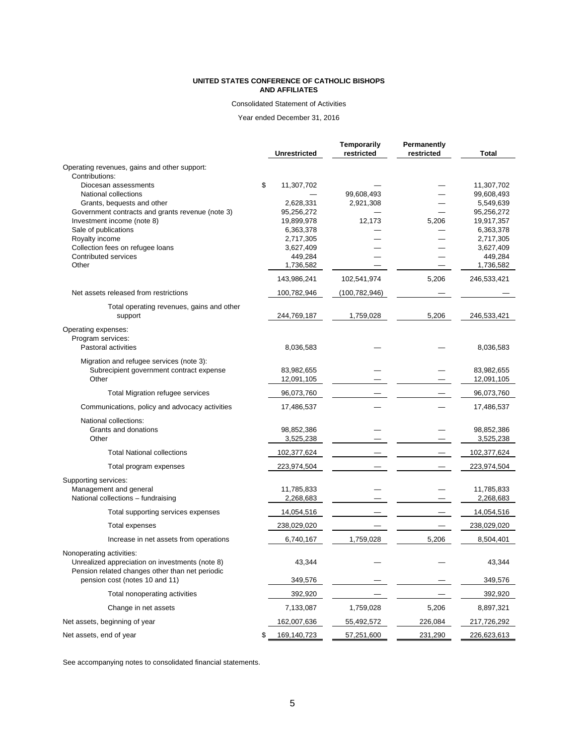#### Consolidated Statement of Activities

Year ended December 31, 2016

|                                                    | Unrestricted            | Temporarily<br>restricted | <b>Permanently</b><br>restricted | <b>Total</b>             |
|----------------------------------------------------|-------------------------|---------------------------|----------------------------------|--------------------------|
| Operating revenues, gains and other support:       |                         |                           |                                  |                          |
| Contributions:                                     |                         |                           |                                  |                          |
| Diocesan assessments                               | \$<br>11,307,702        |                           |                                  | 11,307,702               |
| National collections                               |                         | 99,608,493                |                                  | 99,608,493               |
| Grants, bequests and other                         | 2,628,331               | 2,921,308                 |                                  | 5,549,639                |
| Government contracts and grants revenue (note 3)   | 95,256,272              |                           |                                  | 95,256,272<br>19,917,357 |
| Investment income (note 8)<br>Sale of publications | 19,899,978<br>6,363,378 | 12,173                    | 5,206                            | 6,363,378                |
| Royalty income                                     | 2,717,305               |                           |                                  | 2,717,305                |
| Collection fees on refugee loans                   | 3,627,409               |                           |                                  | 3,627,409                |
| Contributed services                               | 449,284                 |                           |                                  | 449,284                  |
| Other                                              | 1,736,582               |                           |                                  | 1,736,582                |
|                                                    | 143,986,241             | 102,541,974               | 5,206                            | 246,533,421              |
| Net assets released from restrictions              | 100,782,946             | (100, 782, 946)           |                                  |                          |
| Total operating revenues, gains and other          |                         |                           |                                  |                          |
| support                                            | 244,769,187             | 1,759,028                 | 5,206                            | 246,533,421              |
| Operating expenses:                                |                         |                           |                                  |                          |
| Program services:                                  |                         |                           |                                  |                          |
| Pastoral activities                                | 8,036,583               |                           |                                  | 8,036,583                |
| Migration and refugee services (note 3):           |                         |                           |                                  |                          |
| Subrecipient government contract expense           | 83,982,655              |                           |                                  | 83,982,655               |
| Other                                              | 12,091,105              |                           |                                  | 12,091,105               |
| Total Migration refugee services                   | 96,073,760              |                           |                                  | 96,073,760               |
| Communications, policy and advocacy activities     | 17,486,537              |                           |                                  | 17,486,537               |
| National collections:                              |                         |                           |                                  |                          |
| Grants and donations                               | 98,852,386              |                           |                                  | 98,852,386               |
| Other                                              | 3,525,238               |                           |                                  | 3,525,238                |
| <b>Total National collections</b>                  | 102,377,624             |                           |                                  | 102,377,624              |
| Total program expenses                             | 223,974,504             |                           |                                  | 223,974,504              |
| Supporting services:                               |                         |                           |                                  |                          |
| Management and general                             | 11,785,833              |                           |                                  | 11,785,833               |
| National collections - fundraising                 | 2,268,683               |                           |                                  | 2,268,683                |
| Total supporting services expenses                 | 14,054,516              |                           |                                  | 14,054,516               |
| Total expenses                                     | 238,029,020             |                           |                                  | 238,029,020              |
| Increase in net assets from operations             | 6,740,167               | 1,759,028                 | 5,206                            | 8,504,401                |
| Nonoperating activities:                           |                         |                           |                                  |                          |
| Unrealized appreciation on investments (note 8)    | 43,344                  |                           |                                  | 43,344                   |
| Pension related changes other than net periodic    |                         |                           |                                  |                          |
| pension cost (notes 10 and 11)                     | 349,576                 |                           |                                  | 349,576                  |
| Total nonoperating activities                      | 392,920                 |                           |                                  | 392,920                  |
| Change in net assets                               | 7,133,087               | 1,759,028                 | 5,206                            | 8,897,321                |
| Net assets, beginning of year                      | 162,007,636             | 55,492,572                | 226,084                          | 217,726,292              |
| Net assets, end of year                            | \$<br>169,140,723       | 57,251,600                | 231,290                          | 226,623,613              |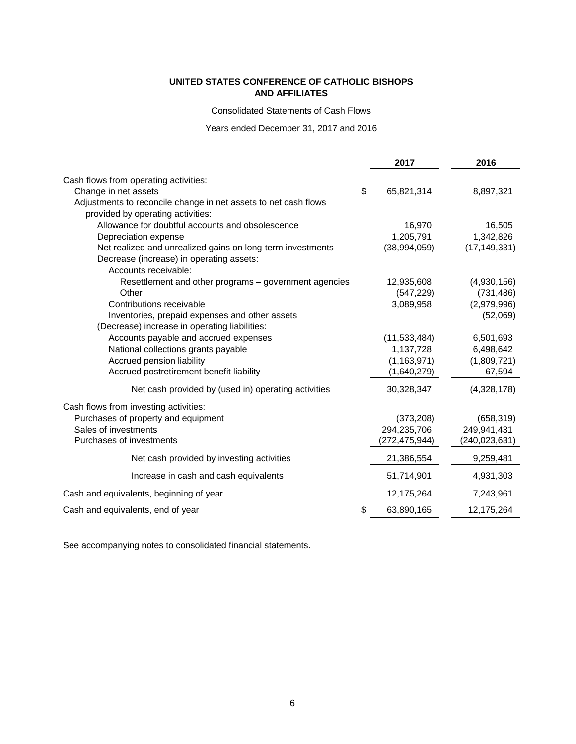Consolidated Statements of Cash Flows

Years ended December 31, 2017 and 2016

|                                                                 | 2017             | 2016           |
|-----------------------------------------------------------------|------------------|----------------|
| Cash flows from operating activities:                           |                  |                |
| Change in net assets                                            | \$<br>65,821,314 | 8,897,321      |
| Adjustments to reconcile change in net assets to net cash flows |                  |                |
| provided by operating activities:                               |                  |                |
| Allowance for doubtful accounts and obsolescence                | 16,970           | 16,505         |
| Depreciation expense                                            | 1,205,791        | 1,342,826      |
| Net realized and unrealized gains on long-term investments      | (38,994,059)     | (17, 149, 331) |
| Decrease (increase) in operating assets:                        |                  |                |
| Accounts receivable:                                            |                  |                |
| Resettlement and other programs - government agencies           | 12,935,608       | (4,930,156)    |
| Other                                                           | (547, 229)       | (731, 486)     |
| Contributions receivable                                        | 3,089,958        | (2,979,996)    |
| Inventories, prepaid expenses and other assets                  |                  | (52,069)       |
| (Decrease) increase in operating liabilities:                   |                  |                |
| Accounts payable and accrued expenses                           | (11,533,484)     | 6,501,693      |
| National collections grants payable                             | 1,137,728        | 6,498,642      |
| Accrued pension liability                                       | (1, 163, 971)    | (1,809,721)    |
| Accrued postretirement benefit liability                        | (1,640,279)      | 67,594         |
| Net cash provided by (used in) operating activities             | 30,328,347       | (4,328,178)    |
| Cash flows from investing activities:                           |                  |                |
| Purchases of property and equipment                             | (373, 208)       | (658, 319)     |
| Sales of investments                                            | 294,235,706      | 249,941,431    |
| Purchases of investments                                        | (272,475,944)    | (240,023,631)  |
| Net cash provided by investing activities                       | 21,386,554       | 9,259,481      |
| Increase in cash and cash equivalents                           | 51,714,901       | 4,931,303      |
| Cash and equivalents, beginning of year                         | 12,175,264       | 7,243,961      |
| Cash and equivalents, end of year                               | \$<br>63,890,165 | 12,175,264     |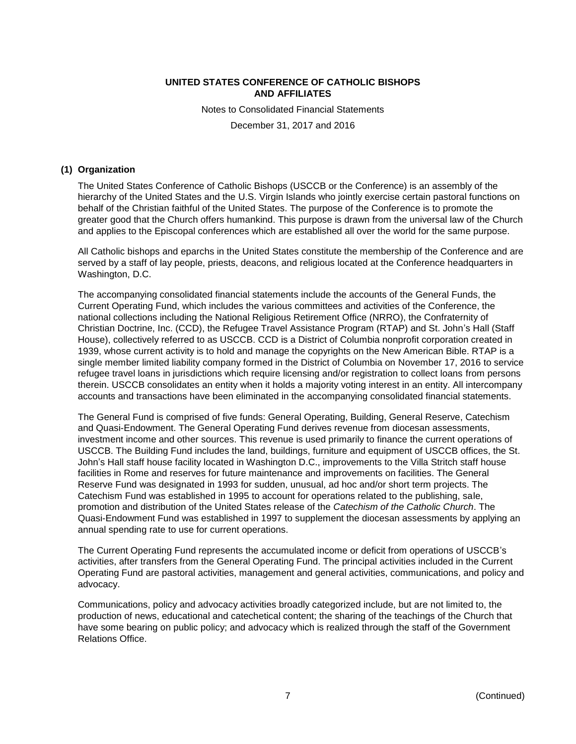Notes to Consolidated Financial Statements December 31, 2017 and 2016

#### **(1) Organization**

The United States Conference of Catholic Bishops (USCCB or the Conference) is an assembly of the hierarchy of the United States and the U.S. Virgin Islands who jointly exercise certain pastoral functions on behalf of the Christian faithful of the United States. The purpose of the Conference is to promote the greater good that the Church offers humankind. This purpose is drawn from the universal law of the Church and applies to the Episcopal conferences which are established all over the world for the same purpose.

All Catholic bishops and eparchs in the United States constitute the membership of the Conference and are served by a staff of lay people, priests, deacons, and religious located at the Conference headquarters in Washington, D.C.

The accompanying consolidated financial statements include the accounts of the General Funds, the Current Operating Fund, which includes the various committees and activities of the Conference, the national collections including the National Religious Retirement Office (NRRO), the Confraternity of Christian Doctrine, Inc. (CCD), the Refugee Travel Assistance Program (RTAP) and St. John's Hall (Staff House), collectively referred to as USCCB. CCD is a District of Columbia nonprofit corporation created in 1939, whose current activity is to hold and manage the copyrights on the New American Bible. RTAP is a single member limited liability company formed in the District of Columbia on November 17, 2016 to service refugee travel loans in jurisdictions which require licensing and/or registration to collect loans from persons therein. USCCB consolidates an entity when it holds a majority voting interest in an entity. All intercompany accounts and transactions have been eliminated in the accompanying consolidated financial statements.

The General Fund is comprised of five funds: General Operating, Building, General Reserve, Catechism and Quasi-Endowment. The General Operating Fund derives revenue from diocesan assessments, investment income and other sources. This revenue is used primarily to finance the current operations of USCCB. The Building Fund includes the land, buildings, furniture and equipment of USCCB offices, the St. John's Hall staff house facility located in Washington D.C., improvements to the Villa Stritch staff house facilities in Rome and reserves for future maintenance and improvements on facilities. The General Reserve Fund was designated in 1993 for sudden, unusual, ad hoc and/or short term projects. The Catechism Fund was established in 1995 to account for operations related to the publishing, sale, promotion and distribution of the United States release of the *Catechism of the Catholic Church*. The Quasi-Endowment Fund was established in 1997 to supplement the diocesan assessments by applying an annual spending rate to use for current operations.

The Current Operating Fund represents the accumulated income or deficit from operations of USCCB's activities, after transfers from the General Operating Fund. The principal activities included in the Current Operating Fund are pastoral activities, management and general activities, communications, and policy and advocacy.

Communications, policy and advocacy activities broadly categorized include, but are not limited to, the production of news, educational and catechetical content; the sharing of the teachings of the Church that have some bearing on public policy; and advocacy which is realized through the staff of the Government Relations Office.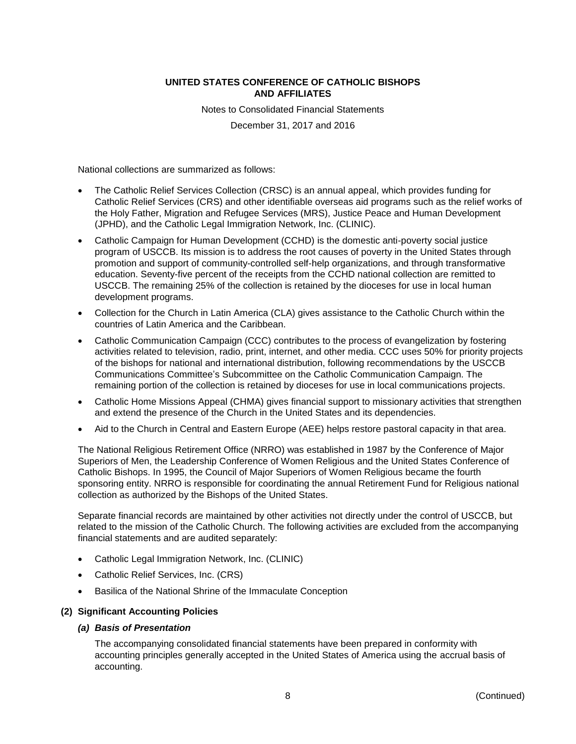Notes to Consolidated Financial Statements December 31, 2017 and 2016

National collections are summarized as follows:

- The Catholic Relief Services Collection (CRSC) is an annual appeal, which provides funding for Catholic Relief Services (CRS) and other identifiable overseas aid programs such as the relief works of the Holy Father, Migration and Refugee Services (MRS), Justice Peace and Human Development (JPHD), and the Catholic Legal Immigration Network, Inc. (CLINIC).
- Catholic Campaign for Human Development (CCHD) is the domestic anti-poverty social justice program of USCCB. Its mission is to address the root causes of poverty in the United States through promotion and support of community-controlled self-help organizations, and through transformative education. Seventy-five percent of the receipts from the CCHD national collection are remitted to USCCB. The remaining 25% of the collection is retained by the dioceses for use in local human development programs.
- Collection for the Church in Latin America (CLA) gives assistance to the Catholic Church within the countries of Latin America and the Caribbean.
- Catholic Communication Campaign (CCC) contributes to the process of evangelization by fostering activities related to television, radio, print, internet, and other media. CCC uses 50% for priority projects of the bishops for national and international distribution, following recommendations by the USCCB Communications Committee's Subcommittee on the Catholic Communication Campaign. The remaining portion of the collection is retained by dioceses for use in local communications projects.
- Catholic Home Missions Appeal (CHMA) gives financial support to missionary activities that strengthen and extend the presence of the Church in the United States and its dependencies.
- Aid to the Church in Central and Eastern Europe (AEE) helps restore pastoral capacity in that area.

The National Religious Retirement Office (NRRO) was established in 1987 by the Conference of Major Superiors of Men, the Leadership Conference of Women Religious and the United States Conference of Catholic Bishops. In 1995, the Council of Major Superiors of Women Religious became the fourth sponsoring entity. NRRO is responsible for coordinating the annual Retirement Fund for Religious national collection as authorized by the Bishops of the United States.

Separate financial records are maintained by other activities not directly under the control of USCCB, but related to the mission of the Catholic Church. The following activities are excluded from the accompanying financial statements and are audited separately:

- Catholic Legal Immigration Network, Inc. (CLINIC)
- Catholic Relief Services, Inc. (CRS)
- Basilica of the National Shrine of the Immaculate Conception

#### **(2) Significant Accounting Policies**

#### *(a) Basis of Presentation*

The accompanying consolidated financial statements have been prepared in conformity with accounting principles generally accepted in the United States of America using the accrual basis of accounting.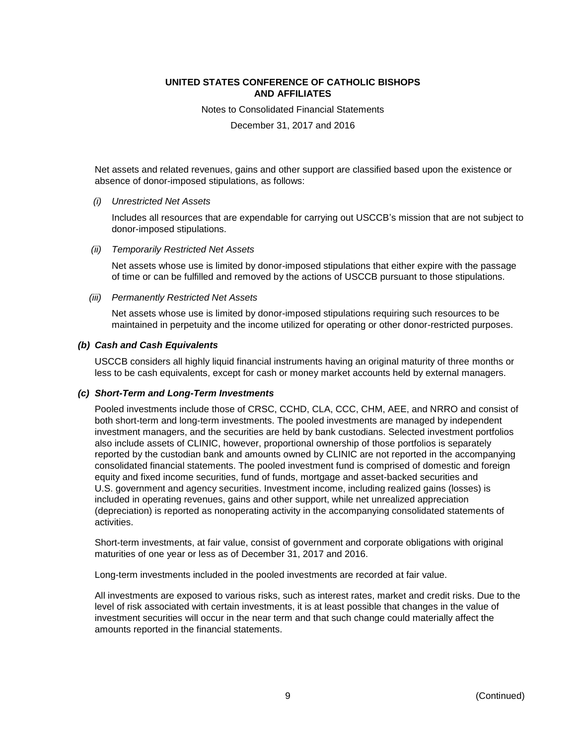Notes to Consolidated Financial Statements

December 31, 2017 and 2016

Net assets and related revenues, gains and other support are classified based upon the existence or absence of donor-imposed stipulations, as follows:

*(i) Unrestricted Net Assets*

Includes all resources that are expendable for carrying out USCCB's mission that are not subject to donor-imposed stipulations.

*(ii) Temporarily Restricted Net Assets*

Net assets whose use is limited by donor-imposed stipulations that either expire with the passage of time or can be fulfilled and removed by the actions of USCCB pursuant to those stipulations.

*(iii) Permanently Restricted Net Assets*

Net assets whose use is limited by donor-imposed stipulations requiring such resources to be maintained in perpetuity and the income utilized for operating or other donor-restricted purposes.

#### *(b) Cash and Cash Equivalents*

USCCB considers all highly liquid financial instruments having an original maturity of three months or less to be cash equivalents, except for cash or money market accounts held by external managers.

#### *(c) Short-Term and Long-Term Investments*

Pooled investments include those of CRSC, CCHD, CLA, CCC, CHM, AEE, and NRRO and consist of both short-term and long-term investments. The pooled investments are managed by independent investment managers, and the securities are held by bank custodians. Selected investment portfolios also include assets of CLINIC, however, proportional ownership of those portfolios is separately reported by the custodian bank and amounts owned by CLINIC are not reported in the accompanying consolidated financial statements. The pooled investment fund is comprised of domestic and foreign equity and fixed income securities, fund of funds, mortgage and asset-backed securities and U.S. government and agency securities. Investment income, including realized gains (losses) is included in operating revenues, gains and other support, while net unrealized appreciation (depreciation) is reported as nonoperating activity in the accompanying consolidated statements of activities.

Short-term investments, at fair value, consist of government and corporate obligations with original maturities of one year or less as of December 31, 2017 and 2016.

Long-term investments included in the pooled investments are recorded at fair value.

All investments are exposed to various risks, such as interest rates, market and credit risks. Due to the level of risk associated with certain investments, it is at least possible that changes in the value of investment securities will occur in the near term and that such change could materially affect the amounts reported in the financial statements.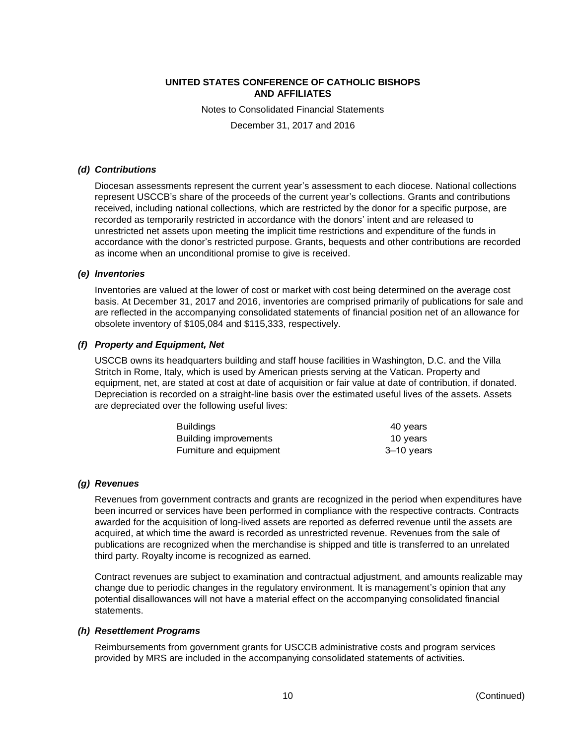Notes to Consolidated Financial Statements

December 31, 2017 and 2016

#### *(d) Contributions*

Diocesan assessments represent the current year's assessment to each diocese. National collections represent USCCB's share of the proceeds of the current year's collections. Grants and contributions received, including national collections, which are restricted by the donor for a specific purpose, are recorded as temporarily restricted in accordance with the donors' intent and are released to unrestricted net assets upon meeting the implicit time restrictions and expenditure of the funds in accordance with the donor's restricted purpose. Grants, bequests and other contributions are recorded as income when an unconditional promise to give is received.

#### *(e) Inventories*

Inventories are valued at the lower of cost or market with cost being determined on the average cost basis. At December 31, 2017 and 2016, inventories are comprised primarily of publications for sale and are reflected in the accompanying consolidated statements of financial position net of an allowance for obsolete inventory of \$105,084 and \$115,333, respectively.

#### *(f) Property and Equipment, Net*

USCCB owns its headquarters building and staff house facilities in Washington, D.C. and the Villa Stritch in Rome, Italy, which is used by American priests serving at the Vatican. Property and equipment, net, are stated at cost at date of acquisition or fair value at date of contribution, if donated. Depreciation is recorded on a straight-line basis over the estimated useful lives of the assets. Assets are depreciated over the following useful lives:

| <b>Buildings</b>        | 40 years   |
|-------------------------|------------|
| Building improvements   | 10 years   |
| Furniture and equipment | 3–10 years |

#### *(g) Revenues*

Revenues from government contracts and grants are recognized in the period when expenditures have been incurred or services have been performed in compliance with the respective contracts. Contracts awarded for the acquisition of long-lived assets are reported as deferred revenue until the assets are acquired, at which time the award is recorded as unrestricted revenue. Revenues from the sale of publications are recognized when the merchandise is shipped and title is transferred to an unrelated third party. Royalty income is recognized as earned.

Contract revenues are subject to examination and contractual adjustment, and amounts realizable may change due to periodic changes in the regulatory environment. It is management's opinion that any potential disallowances will not have a material effect on the accompanying consolidated financial statements.

#### *(h) Resettlement Programs*

Reimbursements from government grants for USCCB administrative costs and program services provided by MRS are included in the accompanying consolidated statements of activities.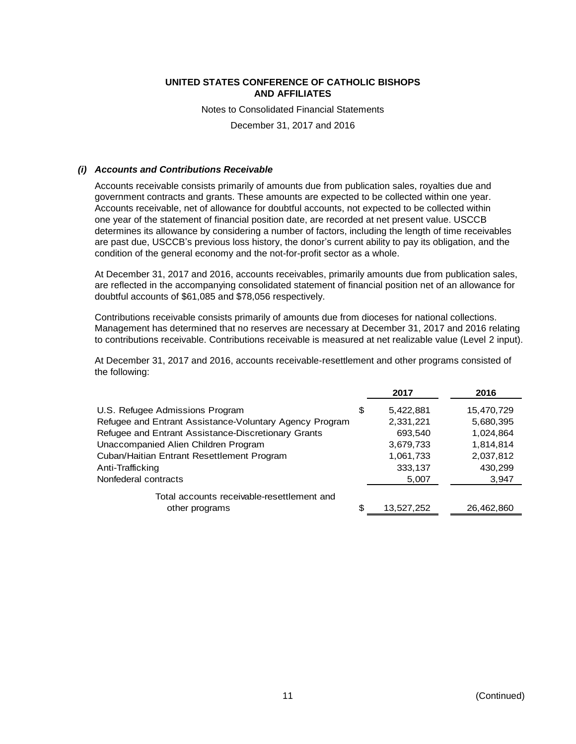Notes to Consolidated Financial Statements

December 31, 2017 and 2016

#### *(i) Accounts and Contributions Receivable*

Accounts receivable consists primarily of amounts due from publication sales, royalties due and government contracts and grants. These amounts are expected to be collected within one year. Accounts receivable, net of allowance for doubtful accounts, not expected to be collected within one year of the statement of financial position date, are recorded at net present value. USCCB determines its allowance by considering a number of factors, including the length of time receivables are past due, USCCB's previous loss history, the donor's current ability to pay its obligation, and the condition of the general economy and the not-for-profit sector as a whole.

At December 31, 2017 and 2016, accounts receivables, primarily amounts due from publication sales, are reflected in the accompanying consolidated statement of financial position net of an allowance for doubtful accounts of \$61,085 and \$78,056 respectively.

Contributions receivable consists primarily of amounts due from dioceses for national collections. Management has determined that no reserves are necessary at December 31, 2017 and 2016 relating to contributions receivable. Contributions receivable is measured at net realizable value (Level 2 input).

At December 31, 2017 and 2016, accounts receivable-resettlement and other programs consisted of the following:

|                                                         | 2017             | 2016       |
|---------------------------------------------------------|------------------|------------|
| U.S. Refugee Admissions Program                         | \$<br>5,422,881  | 15,470,729 |
| Refugee and Entrant Assistance-Voluntary Agency Program | 2,331,221        | 5,680,395  |
| Refugee and Entrant Assistance-Discretionary Grants     | 693,540          | 1,024,864  |
| Unaccompanied Alien Children Program                    | 3,679,733        | 1,814,814  |
| Cuban/Haitian Entrant Resettlement Program              | 1,061,733        | 2,037,812  |
| Anti-Trafficking                                        | 333,137          | 430,299    |
| Nonfederal contracts                                    | 5,007            | 3,947      |
| Total accounts receivable-resettlement and              |                  |            |
| other programs                                          | \$<br>13,527,252 | 26,462,860 |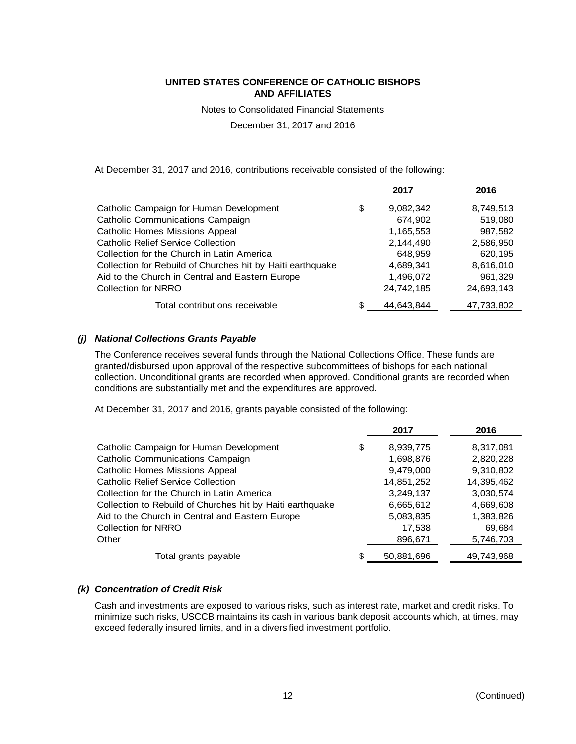Notes to Consolidated Financial Statements

December 31, 2017 and 2016

At December 31, 2017 and 2016, contributions receivable consisted of the following:

|                                                            | 2017             | 2016       |
|------------------------------------------------------------|------------------|------------|
| Catholic Campaign for Human Development                    | \$<br>9,082,342  | 8,749,513  |
| Catholic Communications Campaign                           | 674,902          | 519,080    |
| <b>Catholic Homes Missions Appeal</b>                      | 1,165,553        | 987,582    |
| <b>Catholic Relief Service Collection</b>                  | 2,144,490        | 2,586,950  |
| Collection for the Church in Latin America                 | 648.959          | 620,195    |
| Collection for Rebuild of Churches hit by Haiti earthquake | 4,689,341        | 8,616,010  |
| Aid to the Church in Central and Eastern Europe            | 1,496,072        | 961,329    |
| <b>Collection for NRRO</b>                                 | 24,742,185       | 24,693,143 |
| Total contributions receivable                             | \$<br>44.643.844 | 47,733,802 |

#### *(j) National Collections Grants Payable*

The Conference receives several funds through the National Collections Office. These funds are granted/disbursed upon approval of the respective subcommittees of bishops for each national collection. Unconditional grants are recorded when approved. Conditional grants are recorded when conditions are substantially met and the expenditures are approved.

At December 31, 2017 and 2016, grants payable consisted of the following:

|                                                           | 2017             | 2016       |
|-----------------------------------------------------------|------------------|------------|
| Catholic Campaign for Human Development                   | \$<br>8,939,775  | 8,317,081  |
| Catholic Communications Campaign                          | 1,698,876        | 2,820,228  |
| <b>Catholic Homes Missions Appeal</b>                     | 9,479,000        | 9,310,802  |
| <b>Catholic Relief Service Collection</b>                 | 14,851,252       | 14,395,462 |
| Collection for the Church in Latin America                | 3,249,137        | 3,030,574  |
| Collection to Rebuild of Churches hit by Haiti earthquake | 6,665,612        | 4,669,608  |
| Aid to the Church in Central and Eastern Europe           | 5,083,835        | 1,383,826  |
| Collection for NRRO                                       | 17,538           | 69,684     |
| Other                                                     | 896,671          | 5,746,703  |
| Total grants payable                                      | \$<br>50,881,696 | 49,743,968 |

#### *(k) Concentration of Credit Risk*

Cash and investments are exposed to various risks, such as interest rate, market and credit risks. To minimize such risks, USCCB maintains its cash in various bank deposit accounts which, at times, may exceed federally insured limits, and in a diversified investment portfolio.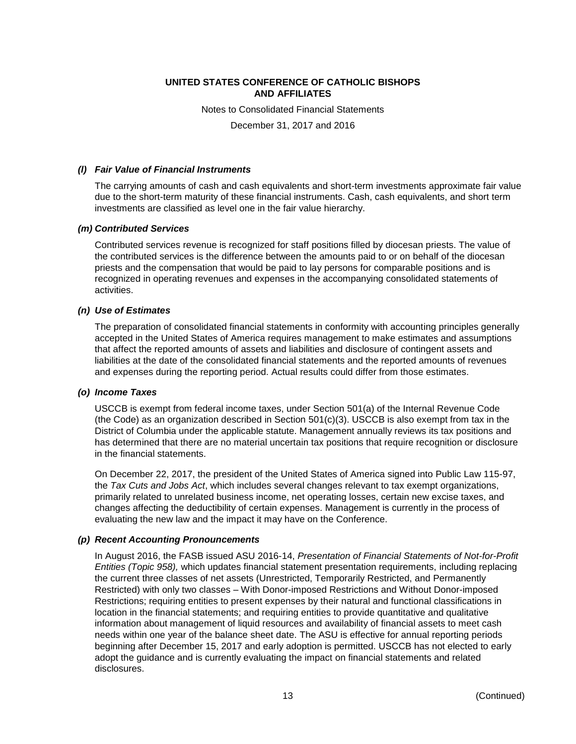Notes to Consolidated Financial Statements

December 31, 2017 and 2016

#### *(l) Fair Value of Financial Instruments*

The carrying amounts of cash and cash equivalents and short-term investments approximate fair value due to the short-term maturity of these financial instruments. Cash, cash equivalents, and short term investments are classified as level one in the fair value hierarchy.

#### *(m) Contributed Services*

Contributed services revenue is recognized for staff positions filled by diocesan priests. The value of the contributed services is the difference between the amounts paid to or on behalf of the diocesan priests and the compensation that would be paid to lay persons for comparable positions and is recognized in operating revenues and expenses in the accompanying consolidated statements of activities.

#### *(n) Use of Estimates*

The preparation of consolidated financial statements in conformity with accounting principles generally accepted in the United States of America requires management to make estimates and assumptions that affect the reported amounts of assets and liabilities and disclosure of contingent assets and liabilities at the date of the consolidated financial statements and the reported amounts of revenues and expenses during the reporting period. Actual results could differ from those estimates.

#### *(o) Income Taxes*

USCCB is exempt from federal income taxes, under Section 501(a) of the Internal Revenue Code (the Code) as an organization described in Section 501(c)(3). USCCB is also exempt from tax in the District of Columbia under the applicable statute. Management annually reviews its tax positions and has determined that there are no material uncertain tax positions that require recognition or disclosure in the financial statements.

On December 22, 2017, the president of the United States of America signed into Public Law 115-97, the *Tax Cuts and Jobs Act*, which includes several changes relevant to tax exempt organizations, primarily related to unrelated business income, net operating losses, certain new excise taxes, and changes affecting the deductibility of certain expenses. Management is currently in the process of evaluating the new law and the impact it may have on the Conference.

#### *(p) Recent Accounting Pronouncements*

In August 2016, the FASB issued ASU 2016-14, *Presentation of Financial Statements of Not-for-Profit Entities (Topic 958),* which updates financial statement presentation requirements, including replacing the current three classes of net assets (Unrestricted, Temporarily Restricted, and Permanently Restricted) with only two classes – With Donor-imposed Restrictions and Without Donor-imposed Restrictions; requiring entities to present expenses by their natural and functional classifications in location in the financial statements; and requiring entities to provide quantitative and qualitative information about management of liquid resources and availability of financial assets to meet cash needs within one year of the balance sheet date. The ASU is effective for annual reporting periods beginning after December 15, 2017 and early adoption is permitted. USCCB has not elected to early adopt the guidance and is currently evaluating the impact on financial statements and related disclosures.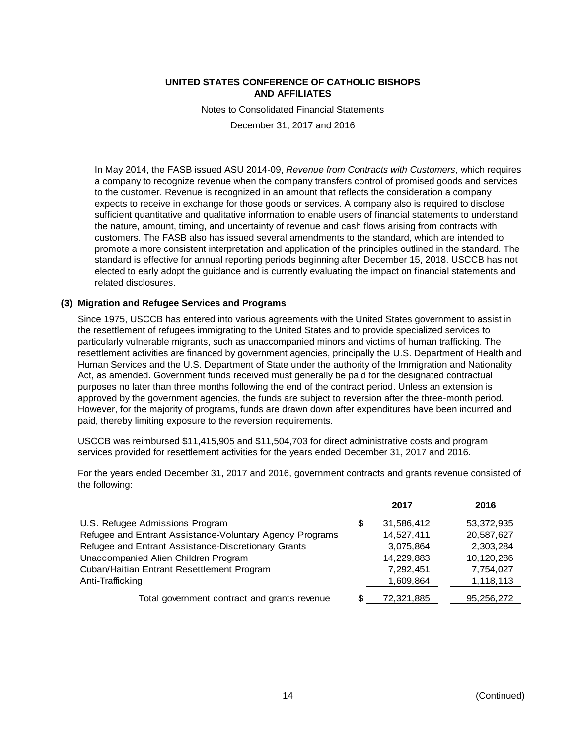Notes to Consolidated Financial Statements

December 31, 2017 and 2016

In May 2014, the FASB issued ASU 2014-09, *Revenue from Contracts with Customers*, which requires a company to recognize revenue when the company transfers control of promised goods and services to the customer. Revenue is recognized in an amount that reflects the consideration a company expects to receive in exchange for those goods or services. A company also is required to disclose sufficient quantitative and qualitative information to enable users of financial statements to understand the nature, amount, timing, and uncertainty of revenue and cash flows arising from contracts with customers. The FASB also has issued several amendments to the standard, which are intended to promote a more consistent interpretation and application of the principles outlined in the standard. The standard is effective for annual reporting periods beginning after December 15, 2018. USCCB has not elected to early adopt the guidance and is currently evaluating the impact on financial statements and related disclosures.

# **(3) Migration and Refugee Services and Programs**

Since 1975, USCCB has entered into various agreements with the United States government to assist in the resettlement of refugees immigrating to the United States and to provide specialized services to particularly vulnerable migrants, such as unaccompanied minors and victims of human trafficking. The resettlement activities are financed by government agencies, principally the U.S. Department of Health and Human Services and the U.S. Department of State under the authority of the Immigration and Nationality Act, as amended. Government funds received must generally be paid for the designated contractual purposes no later than three months following the end of the contract period. Unless an extension is approved by the government agencies, the funds are subject to reversion after the three-month period. However, for the majority of programs, funds are drawn down after expenditures have been incurred and paid, thereby limiting exposure to the reversion requirements.

USCCB was reimbursed \$11,415,905 and \$11,504,703 for direct administrative costs and program services provided for resettlement activities for the years ended December 31, 2017 and 2016.

For the years ended December 31, 2017 and 2016, government contracts and grants revenue consisted of the following:

|                                                          |   | 2017       | 2016       |
|----------------------------------------------------------|---|------------|------------|
| U.S. Refugee Admissions Program                          | S | 31,586,412 | 53,372,935 |
| Refugee and Entrant Assistance-Voluntary Agency Programs |   | 14,527,411 | 20,587,627 |
| Refugee and Entrant Assistance-Discretionary Grants      |   | 3,075,864  | 2,303,284  |
| Unaccompanied Alien Children Program                     |   | 14,229,883 | 10,120,286 |
| Cuban/Haitian Entrant Resettlement Program               |   | 7,292,451  | 7,754,027  |
| Anti-Trafficking                                         |   | 1,609,864  | 1,118,113  |
| Total government contract and grants revenue             |   | 72,321,885 | 95,256,272 |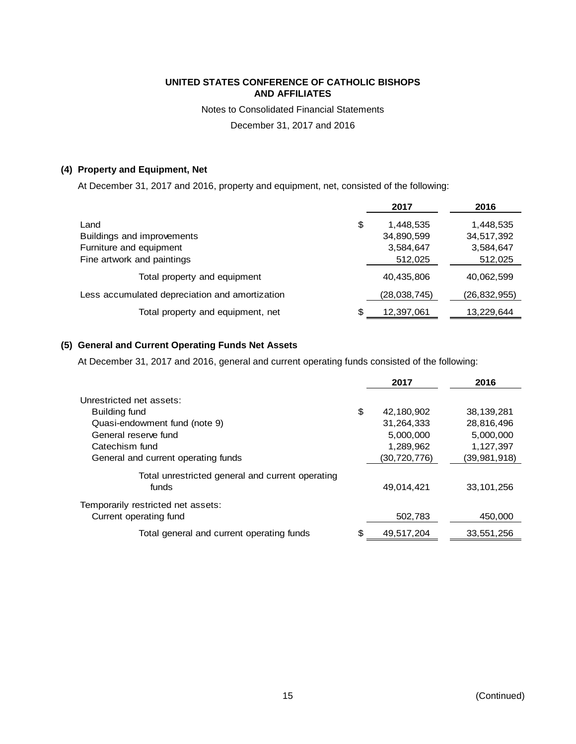Notes to Consolidated Financial Statements

December 31, 2017 and 2016

# **(4) Property and Equipment, Net**

At December 31, 2017 and 2016, property and equipment, net, consisted of the following:

|                                                |    | 2017           | 2016           |
|------------------------------------------------|----|----------------|----------------|
| Land                                           | \$ | 1,448,535      | 1,448,535      |
| Buildings and improvements                     |    | 34,890,599     | 34,517,392     |
| Furniture and equipment                        |    | 3,584,647      | 3,584,647      |
| Fine artwork and paintings                     |    | 512,025        | 512,025        |
| Total property and equipment                   |    | 40,435,806     | 40,062,599     |
| Less accumulated depreciation and amortization |    | (28, 038, 745) | (26, 832, 955) |
| Total property and equipment, net              | S  | 12,397,061     | 13,229,644     |

# **(5) General and Current Operating Funds Net Assets**

At December 31, 2017 and 2016, general and current operating funds consisted of the following:

|                                                              |    | 2017         | 2016         |
|--------------------------------------------------------------|----|--------------|--------------|
| Unrestricted net assets:                                     |    |              |              |
| Building fund                                                | \$ | 42,180,902   | 38,139,281   |
| Quasi-endowment fund (note 9)                                |    | 31,264,333   | 28,816,496   |
| General reserve fund                                         |    | 5,000,000    | 5,000,000    |
| Catechism fund                                               |    | 1,289,962    | 1,127,397    |
| General and current operating funds                          |    | (30,720,776) | (39,981,918) |
| Total unrestricted general and current operating<br>funds    |    | 49,014,421   | 33,101,256   |
| Temporarily restricted net assets:<br>Current operating fund |    | 502,783      | 450,000      |
| Total general and current operating funds                    | S  | 49,517,204   | 33,551,256   |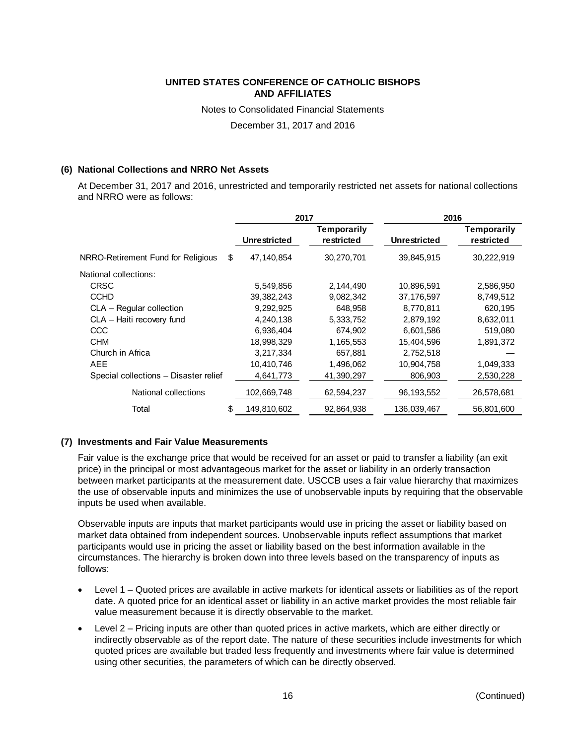Notes to Consolidated Financial Statements

December 31, 2017 and 2016

# **(6) National Collections and NRRO Net Assets**

At December 31, 2017 and 2016, unrestricted and temporarily restricted net assets for national collections and NRRO were as follows:

|                                          | 2017                |             |                     |                    |  | 2016 |
|------------------------------------------|---------------------|-------------|---------------------|--------------------|--|------|
|                                          |                     | Temporarily |                     | <b>Temporarily</b> |  |      |
|                                          | <b>Unrestricted</b> | restricted  | <b>Unrestricted</b> | restricted         |  |      |
| NRRO-Retirement Fund for Religious<br>\$ | 47,140,854          | 30,270,701  | 39,845,915          | 30,222,919         |  |      |
| National collections:                    |                     |             |                     |                    |  |      |
| <b>CRSC</b>                              | 5,549,856           | 2,144,490   | 10,896,591          | 2,586,950          |  |      |
| <b>CCHD</b>                              | 39, 382, 243        | 9,082,342   | 37,176,597          | 8,749,512          |  |      |
| CLA - Regular collection                 | 9,292,925           | 648,958     | 8,770,811           | 620,195            |  |      |
| CLA - Haiti recovery fund                | 4,240,138           | 5,333,752   | 2,879,192           | 8,632,011          |  |      |
| <b>CCC</b>                               | 6,936,404           | 674,902     | 6,601,586           | 519,080            |  |      |
| <b>CHM</b>                               | 18,998,329          | 1,165,553   | 15,404,596          | 1,891,372          |  |      |
| Church in Africa                         | 3,217,334           | 657,881     | 2,752,518           |                    |  |      |
| <b>AEE</b>                               | 10,410,746          | 1,496,062   | 10,904,758          | 1,049,333          |  |      |
| Special collections - Disaster relief    | 4,641,773           | 41,390,297  | 806,903             | 2,530,228          |  |      |
| National collections                     | 102,669,748         | 62,594,237  | 96,193,552          | 26,578,681         |  |      |
| Total<br>S                               | 149,810,602         | 92,864,938  | 136,039,467         | 56,801,600         |  |      |

# **(7) Investments and Fair Value Measurements**

Fair value is the exchange price that would be received for an asset or paid to transfer a liability (an exit price) in the principal or most advantageous market for the asset or liability in an orderly transaction between market participants at the measurement date. USCCB uses a fair value hierarchy that maximizes the use of observable inputs and minimizes the use of unobservable inputs by requiring that the observable inputs be used when available.

Observable inputs are inputs that market participants would use in pricing the asset or liability based on market data obtained from independent sources. Unobservable inputs reflect assumptions that market participants would use in pricing the asset or liability based on the best information available in the circumstances. The hierarchy is broken down into three levels based on the transparency of inputs as follows:

- Level 1 Quoted prices are available in active markets for identical assets or liabilities as of the report date. A quoted price for an identical asset or liability in an active market provides the most reliable fair value measurement because it is directly observable to the market.
- Level 2 Pricing inputs are other than quoted prices in active markets, which are either directly or indirectly observable as of the report date. The nature of these securities include investments for which quoted prices are available but traded less frequently and investments where fair value is determined using other securities, the parameters of which can be directly observed.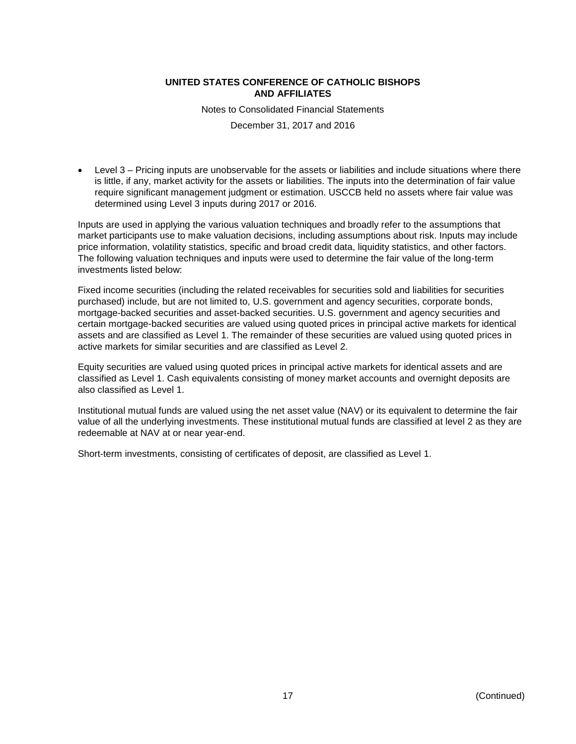Notes to Consolidated Financial Statements

December 31, 2017 and 2016

 Level 3 – Pricing inputs are unobservable for the assets or liabilities and include situations where there is little, if any, market activity for the assets or liabilities. The inputs into the determination of fair value require significant management judgment or estimation. USCCB held no assets where fair value was determined using Level 3 inputs during 2017 or 2016.

Inputs are used in applying the various valuation techniques and broadly refer to the assumptions that market participants use to make valuation decisions, including assumptions about risk. Inputs may include price information, volatility statistics, specific and broad credit data, liquidity statistics, and other factors. The following valuation techniques and inputs were used to determine the fair value of the long-term investments listed below:

Fixed income securities (including the related receivables for securities sold and liabilities for securities purchased) include, but are not limited to, U.S. government and agency securities, corporate bonds, mortgage-backed securities and asset-backed securities. U.S. government and agency securities and certain mortgage-backed securities are valued using quoted prices in principal active markets for identical assets and are classified as Level 1. The remainder of these securities are valued using quoted prices in active markets for similar securities and are classified as Level 2.

Equity securities are valued using quoted prices in principal active markets for identical assets and are classified as Level 1. Cash equivalents consisting of money market accounts and overnight deposits are also classified as Level 1.

Institutional mutual funds are valued using the net asset value (NAV) or its equivalent to determine the fair value of all the underlying investments. These institutional mutual funds are classified at level 2 as they are redeemable at NAV at or near year-end.

Short-term investments, consisting of certificates of deposit, are classified as Level 1.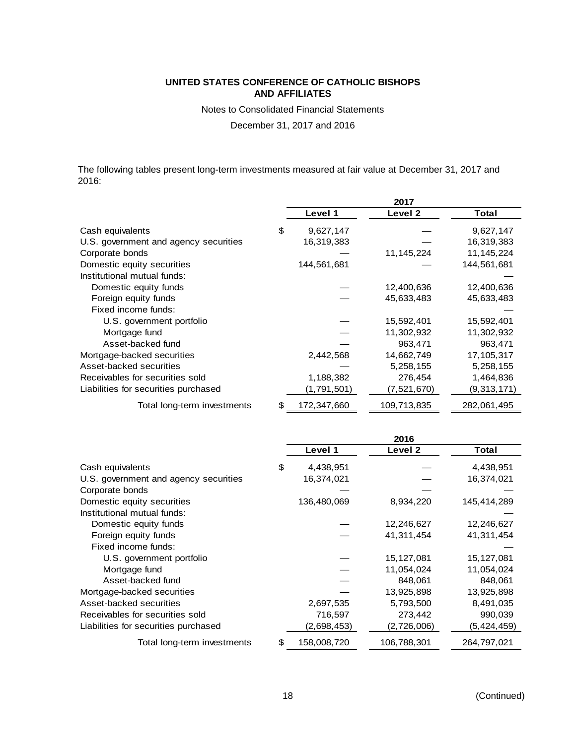Notes to Consolidated Financial Statements

December 31, 2017 and 2016

The following tables present long-term investments measured at fair value at December 31, 2017 and 2016:

|                                       |                   | 2017               |             |
|---------------------------------------|-------------------|--------------------|-------------|
|                                       | Level 1           | Level <sub>2</sub> | Total       |
| Cash equivalents                      | \$<br>9,627,147   |                    | 9,627,147   |
| U.S. government and agency securities | 16,319,383        |                    | 16,319,383  |
| Corporate bonds                       |                   | 11,145,224         | 11,145,224  |
| Domestic equity securities            | 144,561,681       |                    | 144,561,681 |
| Institutional mutual funds:           |                   |                    |             |
| Domestic equity funds                 |                   | 12,400,636         | 12,400,636  |
| Foreign equity funds                  |                   | 45,633,483         | 45,633,483  |
| Fixed income funds:                   |                   |                    |             |
| U.S. government portfolio             |                   | 15,592,401         | 15,592,401  |
| Mortgage fund                         |                   | 11,302,932         | 11,302,932  |
| Asset-backed fund                     |                   | 963,471            | 963,471     |
| Mortgage-backed securities            | 2,442,568         | 14,662,749         | 17,105,317  |
| Asset-backed securities               |                   | 5,258,155          | 5,258,155   |
| Receivables for securities sold       | 1,188,382         | 276,454            | 1,464,836   |
| Liabilities for securities purchased  | (1,791,501)       | (7,521,670)        | (9,313,171) |
| Total long-term investments           | \$<br>172,347,660 | 109,713,835        | 282,061,495 |

|                                       |                   | 2016        |             |
|---------------------------------------|-------------------|-------------|-------------|
|                                       | Level 1           | Level 2     | Total       |
| Cash equivalents                      | \$<br>4,438,951   |             | 4,438,951   |
| U.S. government and agency securities | 16,374,021        |             | 16,374,021  |
| Corporate bonds                       |                   |             |             |
| Domestic equity securities            | 136,480,069       | 8,934,220   | 145,414,289 |
| Institutional mutual funds:           |                   |             |             |
| Domestic equity funds                 |                   | 12,246,627  | 12,246,627  |
| Foreign equity funds                  |                   | 41,311,454  | 41,311,454  |
| Fixed income funds:                   |                   |             |             |
| U.S. government portfolio             |                   | 15,127,081  | 15,127,081  |
| Mortgage fund                         |                   | 11,054,024  | 11,054,024  |
| Asset-backed fund                     |                   | 848,061     | 848,061     |
| Mortgage-backed securities            |                   | 13,925,898  | 13,925,898  |
| Asset-backed securities               | 2,697,535         | 5,793,500   | 8,491,035   |
| Receivables for securities sold       | 716,597           | 273,442     | 990,039     |
| Liabilities for securities purchased  | (2,698,453)       | (2,726,006) | (5,424,459) |
| Total long-term investments           | \$<br>158,008,720 | 106,788,301 | 264,797,021 |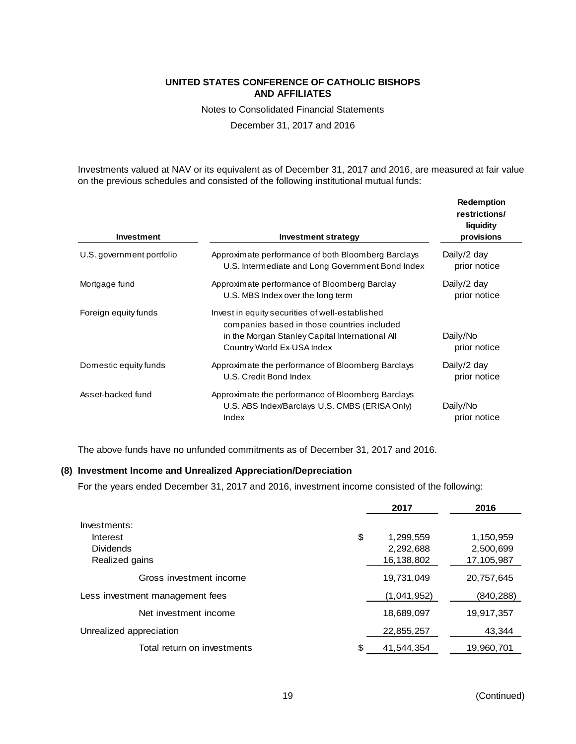Notes to Consolidated Financial Statements

December 31, 2017 and 2016

Investments valued at NAV or its equivalent as of December 31, 2017 and 2016, are measured at fair value on the previous schedules and consisted of the following institutional mutual funds:

| <b>Investment</b>         | <b>Investment strategy</b>                                                                                                                                                      | <b>Redemption</b><br>restrictions/<br>liquidity<br>provisions |
|---------------------------|---------------------------------------------------------------------------------------------------------------------------------------------------------------------------------|---------------------------------------------------------------|
| U.S. government portfolio | Approximate performance of both Bloomberg Barclays<br>U.S. Intermediate and Long Government Bond Index                                                                          | Daily/2 day<br>prior notice                                   |
| Mortgage fund             | Approximate performance of Bloomberg Barclay<br>U.S. MBS Index over the long term                                                                                               | Daily/2 day<br>prior notice                                   |
| Foreign equity funds      | Invest in equity securities of well-established<br>companies based in those countries included<br>in the Morgan Stanley Capital International All<br>Country World Ex-USA Index | Daily/No<br>prior notice                                      |
| Domestic equity funds     | Approximate the performance of Bloomberg Barclays<br>U.S. Credit Bond Index                                                                                                     | Daily/2 day<br>prior notice                                   |
| Asset-backed fund         | Approximate the performance of Bloomberg Barclays<br>U.S. ABS Index/Barclays U.S. CMBS (ERISA Only)<br>Index                                                                    | Daily/No<br>prior notice                                      |

The above funds have no unfunded commitments as of December 31, 2017 and 2016.

## **(8) Investment Income and Unrealized Appreciation/Depreciation**

For the years ended December 31, 2017 and 2016, investment income consisted of the following:

|                                 | 2017             | 2016       |
|---------------------------------|------------------|------------|
| Investments:                    |                  |            |
| Interest                        | \$<br>1,299,559  | 1,150,959  |
| <b>Dividends</b>                | 2,292,688        | 2,500,699  |
| Realized gains                  | 16,138,802       | 17,105,987 |
| Gross investment income         | 19,731,049       | 20,757,645 |
| Less investment management fees | (1,041,952)      | (840, 288) |
| Net investment income           | 18,689,097       | 19,917,357 |
| Unrealized appreciation         | 22,855,257       | 43,344     |
| Total return on investments     | \$<br>41.544.354 | 19,960,701 |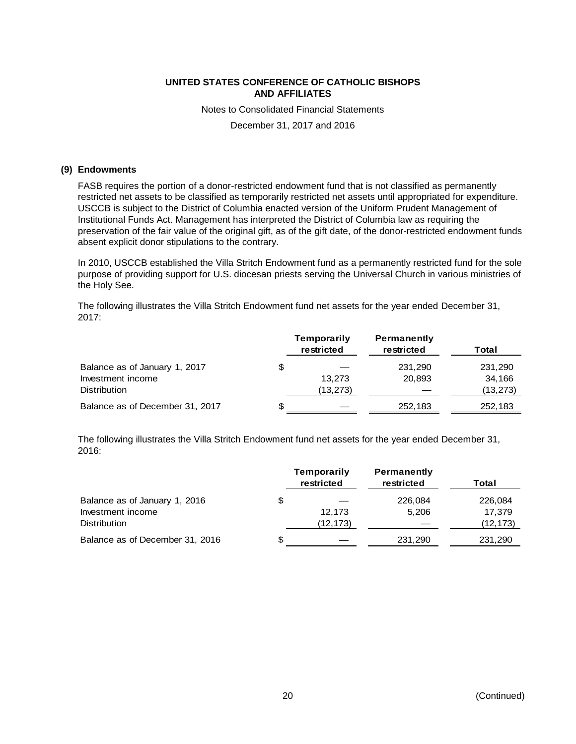Notes to Consolidated Financial Statements

December 31, 2017 and 2016

#### **(9) Endowments**

FASB requires the portion of a donor-restricted endowment fund that is not classified as permanently restricted net assets to be classified as temporarily restricted net assets until appropriated for expenditure. USCCB is subject to the District of Columbia enacted version of the Uniform Prudent Management of Institutional Funds Act. Management has interpreted the District of Columbia law as requiring the preservation of the fair value of the original gift, as of the gift date, of the donor-restricted endowment funds absent explicit donor stipulations to the contrary.

In 2010, USCCB established the Villa Stritch Endowment fund as a permanently restricted fund for the sole purpose of providing support for U.S. diocesan priests serving the Universal Church in various ministries of the Holy See.

The following illustrates the Villa Stritch Endowment fund net assets for the year ended December 31, 2017:

|                                 |    | Temporarily<br>restricted | <b>Permanently</b><br>restricted | Total     |
|---------------------------------|----|---------------------------|----------------------------------|-----------|
| Balance as of January 1, 2017   | \$ |                           | 231,290                          | 231,290   |
| Investment income               |    | 13.273                    | 20.893                           | 34,166    |
| <b>Distribution</b>             |    | (13,273)                  |                                  | (13, 273) |
| Balance as of December 31, 2017 | S  |                           | 252,183                          | 252,183   |

The following illustrates the Villa Stritch Endowment fund net assets for the year ended December 31, 2016:

|                                 |    | Temporarily<br>restricted | <b>Permanently</b><br>restricted | Total     |
|---------------------------------|----|---------------------------|----------------------------------|-----------|
| Balance as of January 1, 2016   | \$ |                           | 226,084                          | 226,084   |
| Investment income               |    | 12.173                    | 5.206                            | 17.379    |
| <b>Distribution</b>             |    | (12,173)                  |                                  | (12, 173) |
| Balance as of December 31, 2016 | S  |                           | 231,290                          | 231,290   |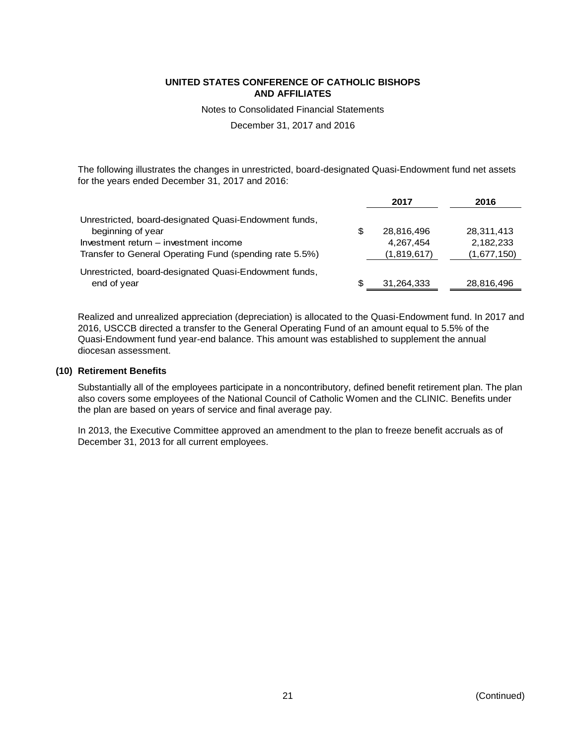Notes to Consolidated Financial Statements

December 31, 2017 and 2016

The following illustrates the changes in unrestricted, board-designated Quasi-Endowment fund net assets for the years ended December 31, 2017 and 2016:

|                                                         |    | 2017        | 2016        |
|---------------------------------------------------------|----|-------------|-------------|
| Unrestricted, board-designated Quasi-Endowment funds,   |    |             |             |
| beginning of year                                       | S  | 28,816,496  | 28,311,413  |
| Investment return – investment income                   |    | 4.267.454   | 2,182,233   |
| Transfer to General Operating Fund (spending rate 5.5%) |    | (1,819,617) | (1,677,150) |
| Unrestricted, board-designated Quasi-Endowment funds,   |    |             |             |
| end of year                                             | æ. | 31,264,333  | 28,816,496  |

Realized and unrealized appreciation (depreciation) is allocated to the Quasi-Endowment fund. In 2017 and 2016, USCCB directed a transfer to the General Operating Fund of an amount equal to 5.5% of the Quasi-Endowment fund year-end balance. This amount was established to supplement the annual diocesan assessment.

#### **(10) Retirement Benefits**

Substantially all of the employees participate in a noncontributory, defined benefit retirement plan. The plan also covers some employees of the National Council of Catholic Women and the CLINIC. Benefits under the plan are based on years of service and final average pay.

In 2013, the Executive Committee approved an amendment to the plan to freeze benefit accruals as of December 31, 2013 for all current employees.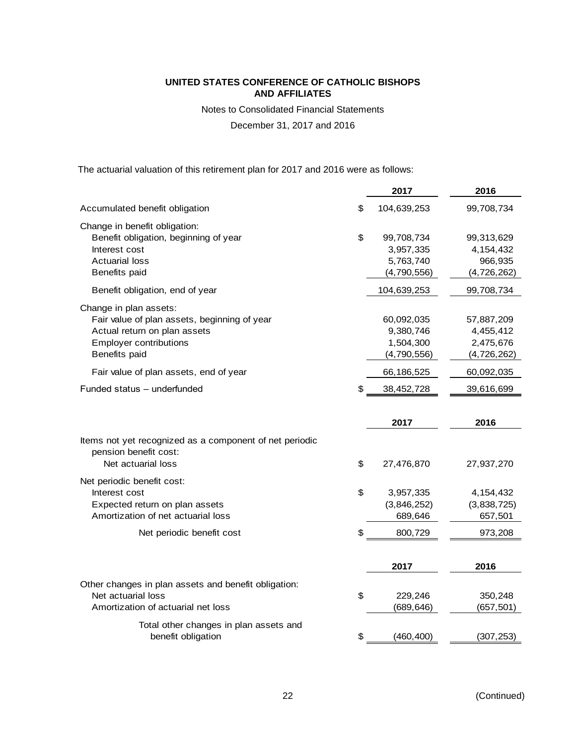Notes to Consolidated Financial Statements

December 31, 2017 and 2016

The actuarial valuation of this retirement plan for 2017 and 2016 were as follows:

|                                                                                                                                                          | 2017                                                      | 2016                                                |
|----------------------------------------------------------------------------------------------------------------------------------------------------------|-----------------------------------------------------------|-----------------------------------------------------|
| Accumulated benefit obligation                                                                                                                           | \$<br>104,639,253                                         | 99,708,734                                          |
| Change in benefit obligation:<br>Benefit obligation, beginning of year<br>Interest cost<br><b>Actuarial loss</b><br>Benefits paid                        | \$<br>99,708,734<br>3,957,335<br>5,763,740<br>(4,790,556) | 99,313,629<br>4,154,432<br>966,935<br>(4,726,262)   |
| Benefit obligation, end of year                                                                                                                          | 104,639,253                                               | 99,708,734                                          |
| Change in plan assets:<br>Fair value of plan assets, beginning of year<br>Actual return on plan assets<br><b>Employer contributions</b><br>Benefits paid | 60,092,035<br>9,380,746<br>1,504,300<br>(4,790,556)       | 57,887,209<br>4,455,412<br>2,475,676<br>(4,726,262) |
| Fair value of plan assets, end of year                                                                                                                   | 66,186,525                                                | 60,092,035                                          |
| Funded status - underfunded                                                                                                                              | \$<br>38,452,728                                          | 39,616,699                                          |
|                                                                                                                                                          |                                                           |                                                     |
|                                                                                                                                                          | 2017                                                      | 2016                                                |
| Items not yet recognized as a component of net periodic<br>pension benefit cost:<br>Net actuarial loss                                                   | \$<br>27,476,870                                          | 27,937,270                                          |
| Net periodic benefit cost:<br>Interest cost<br>Expected return on plan assets<br>Amortization of net actuarial loss                                      | \$<br>3,957,335<br>(3,846,252)<br>689,646                 | 4,154,432<br>(3,838,725)<br>657,501                 |
| Net periodic benefit cost                                                                                                                                | \$<br>800,729                                             | 973,208                                             |
|                                                                                                                                                          | 2017                                                      | 2016                                                |
| Other changes in plan assets and benefit obligation:<br>Net actuarial loss<br>Amortization of actuarial net loss                                         | \$<br>229,246<br>(689, 646)                               | 350,248<br>(657, 501)                               |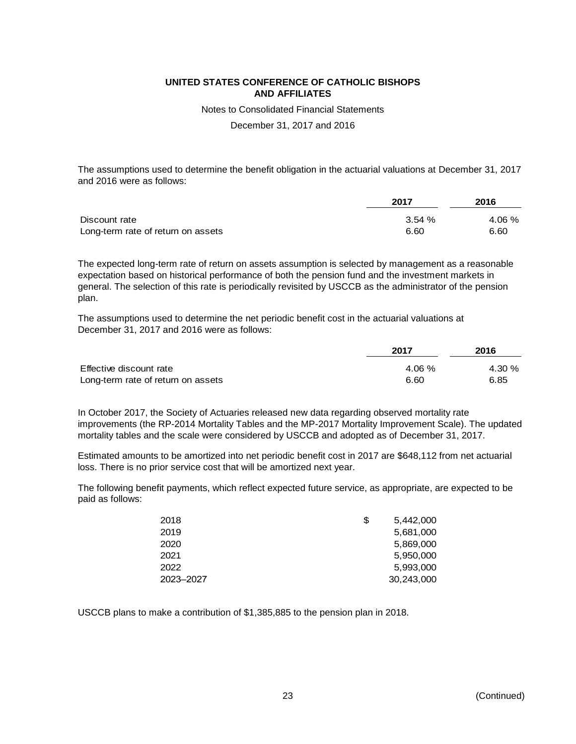Notes to Consolidated Financial Statements

December 31, 2017 and 2016

The assumptions used to determine the benefit obligation in the actuarial valuations at December 31, 2017 and 2016 were as follows:

|                                    | 2017   | 2016   |
|------------------------------------|--------|--------|
| Discount rate                      | 3.54 % | 4.06 % |
| Long-term rate of return on assets | 6.60   | 6.60   |

The expected long-term rate of return on assets assumption is selected by management as a reasonable expectation based on historical performance of both the pension fund and the investment markets in general. The selection of this rate is periodically revisited by USCCB as the administrator of the pension plan.

The assumptions used to determine the net periodic benefit cost in the actuarial valuations at December 31, 2017 and 2016 were as follows:

|                                    | 2017  | 2016  |
|------------------------------------|-------|-------|
| Effective discount rate            | 4.06% | 4.30% |
| Long-term rate of return on assets | 6.60  | 6.85  |

In October 2017, the Society of Actuaries released new data regarding observed mortality rate improvements (the RP-2014 Mortality Tables and the MP-2017 Mortality Improvement Scale). The updated mortality tables and the scale were considered by USCCB and adopted as of December 31, 2017.

Estimated amounts to be amortized into net periodic benefit cost in 2017 are \$648,112 from net actuarial loss. There is no prior service cost that will be amortized next year.

The following benefit payments, which reflect expected future service, as appropriate, are expected to be paid as follows:

| 2018      | \$<br>5,442,000 |
|-----------|-----------------|
| 2019      | 5,681,000       |
| 2020      | 5,869,000       |
| 2021      | 5,950,000       |
| 2022      | 5,993,000       |
| 2023-2027 | 30,243,000      |

USCCB plans to make a contribution of \$1,385,885 to the pension plan in 2018.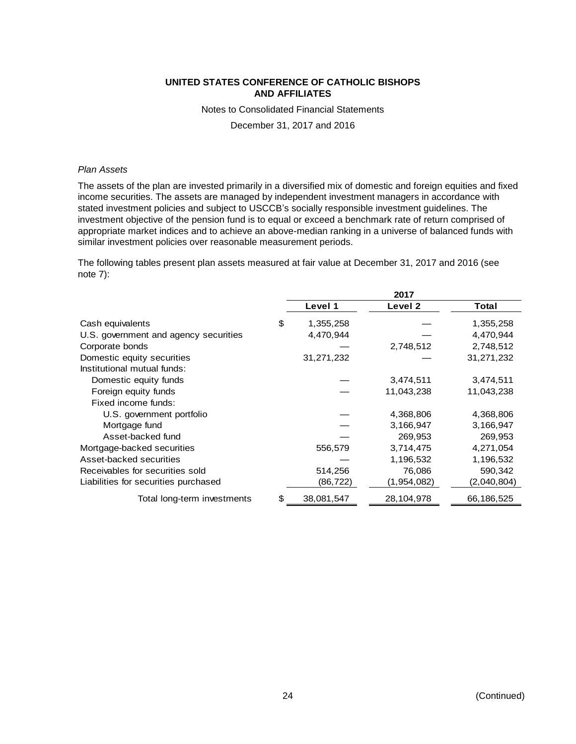Notes to Consolidated Financial Statements

December 31, 2017 and 2016

#### *Plan Assets*

The assets of the plan are invested primarily in a diversified mix of domestic and foreign equities and fixed income securities. The assets are managed by independent investment managers in accordance with stated investment policies and subject to USCCB's socially responsible investment guidelines. The investment objective of the pension fund is to equal or exceed a benchmark rate of return comprised of appropriate market indices and to achieve an above-median ranking in a universe of balanced funds with similar investment policies over reasonable measurement periods.

The following tables present plan assets measured at fair value at December 31, 2017 and 2016 (see note 7):

|                                       | 2017 |            |             |             |
|---------------------------------------|------|------------|-------------|-------------|
|                                       |      | Level 1    | Level 2     | Total       |
| Cash equivalents                      | \$   | 1,355,258  |             | 1,355,258   |
| U.S. government and agency securities |      | 4,470,944  |             | 4,470,944   |
| Corporate bonds                       |      |            | 2,748,512   | 2,748,512   |
| Domestic equity securities            |      | 31,271,232 |             | 31,271,232  |
| Institutional mutual funds:           |      |            |             |             |
| Domestic equity funds                 |      |            | 3,474,511   | 3,474,511   |
| Foreign equity funds                  |      |            | 11,043,238  | 11,043,238  |
| Fixed income funds:                   |      |            |             |             |
| U.S. government portfolio             |      |            | 4,368,806   | 4,368,806   |
| Mortgage fund                         |      |            | 3,166,947   | 3,166,947   |
| Asset-backed fund                     |      |            | 269,953     | 269,953     |
| Mortgage-backed securities            |      | 556,579    | 3,714,475   | 4,271,054   |
| Asset-backed securities               |      |            | 1,196,532   | 1,196,532   |
| Receivables for securities sold       |      | 514,256    | 76,086      | 590,342     |
| Liabilities for securities purchased  |      | (86,722)   | (1,954,082) | (2,040,804) |
| Total long-term investments           | \$   | 38,081,547 | 28,104,978  | 66,186,525  |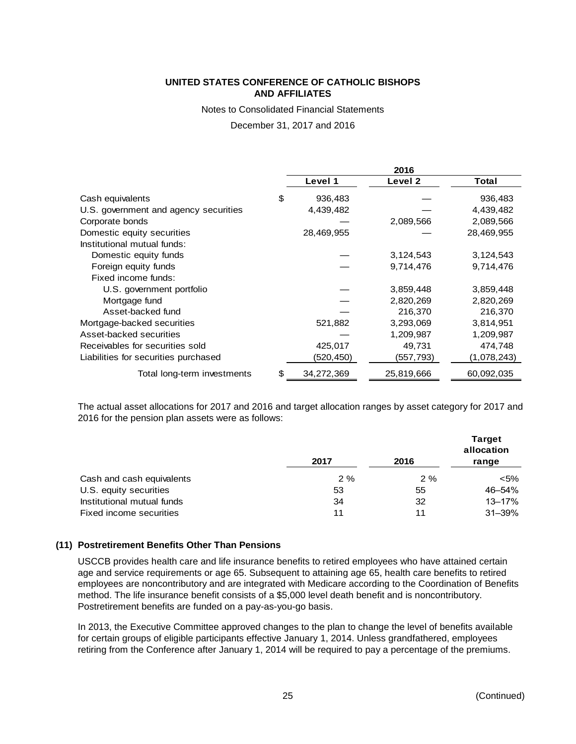Notes to Consolidated Financial Statements

December 31, 2017 and 2016

|                                       | 2016 |            |            |             |
|---------------------------------------|------|------------|------------|-------------|
|                                       |      | Level 1    | Level 2    | Total       |
| Cash equivalents                      | \$   | 936,483    |            | 936,483     |
| U.S. government and agency securities |      | 4,439,482  |            | 4,439,482   |
| Corporate bonds                       |      |            | 2,089,566  | 2,089,566   |
| Domestic equity securities            |      | 28,469,955 |            | 28,469,955  |
| Institutional mutual funds:           |      |            |            |             |
| Domestic equity funds                 |      |            | 3,124,543  | 3,124,543   |
| Foreign equity funds                  |      |            | 9,714,476  | 9,714,476   |
| Fixed income funds:                   |      |            |            |             |
| U.S. government portfolio             |      |            | 3,859,448  | 3,859,448   |
| Mortgage fund                         |      |            | 2,820,269  | 2,820,269   |
| Asset-backed fund                     |      |            | 216,370    | 216,370     |
| Mortgage-backed securities            |      | 521,882    | 3,293,069  | 3,814,951   |
| Asset-backed securities               |      |            | 1,209,987  | 1,209,987   |
| Receivables for securities sold       |      | 425,017    | 49,731     | 474,748     |
| Liabilities for securities purchased  |      | (520,450)  | (557,793)  | (1,078,243) |
| Total long-term investments           | \$   | 34,272,369 | 25,819,666 | 60,092,035  |

The actual asset allocations for 2017 and 2016 and target allocation ranges by asset category for 2017 and 2016 for the pension plan assets were as follows:

|                            | 2017 | 2016 | <b>Target</b><br>allocation<br>range |
|----------------------------|------|------|--------------------------------------|
| Cash and cash equivalents  | 2%   | 2%   | $<$ 5%                               |
| U.S. equity securities     | 53   | 55   | 46-54%                               |
| Institutional mutual funds | 34   | 32   | $13 - 17%$                           |
| Fixed income securities    | 11   | 11   | $31 - 39%$                           |

# **(11) Postretirement Benefits Other Than Pensions**

USCCB provides health care and life insurance benefits to retired employees who have attained certain age and service requirements or age 65. Subsequent to attaining age 65, health care benefits to retired employees are noncontributory and are integrated with Medicare according to the Coordination of Benefits method. The life insurance benefit consists of a \$5,000 level death benefit and is noncontributory. Postretirement benefits are funded on a pay-as-you-go basis.

In 2013, the Executive Committee approved changes to the plan to change the level of benefits available for certain groups of eligible participants effective January 1, 2014. Unless grandfathered, employees retiring from the Conference after January 1, 2014 will be required to pay a percentage of the premiums.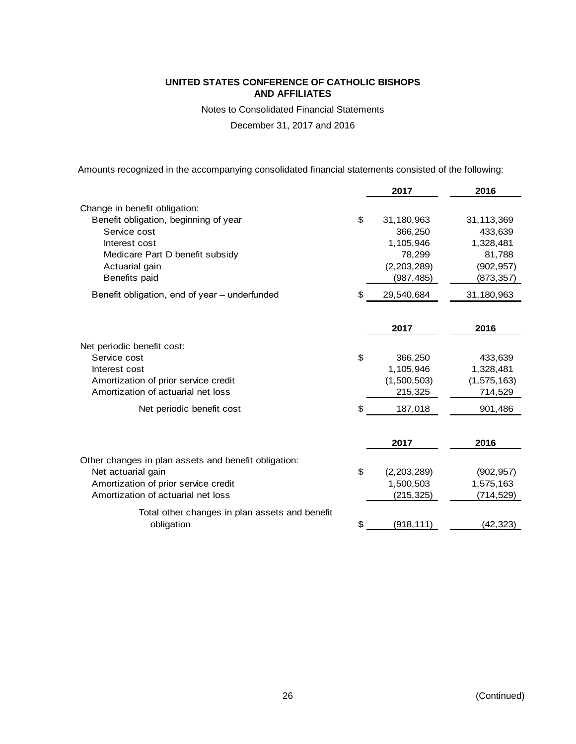Notes to Consolidated Financial Statements

December 31, 2017 and 2016

Amounts recognized in the accompanying consolidated financial statements consisted of the following:

|                                                      | 2017              | 2016          |
|------------------------------------------------------|-------------------|---------------|
| Change in benefit obligation:                        |                   |               |
| Benefit obligation, beginning of year                | \$<br>31,180,963  | 31,113,369    |
| Service cost                                         | 366,250           | 433,639       |
| Interest cost                                        | 1,105,946         | 1,328,481     |
| Medicare Part D benefit subsidy                      | 78,299            | 81,788        |
| Actuarial gain                                       | (2,203,289)       | (902, 957)    |
| Benefits paid                                        | (987, 485)        | (873, 357)    |
| Benefit obligation, end of year - underfunded        | \$<br>29,540,684  | 31,180,963    |
|                                                      |                   |               |
|                                                      | 2017              | 2016          |
| Net periodic benefit cost:                           |                   |               |
| Service cost                                         | \$<br>366,250     | 433,639       |
| Interest cost                                        | 1,105,946         | 1,328,481     |
| Amortization of prior service credit                 | (1,500,503)       | (1, 575, 163) |
| Amortization of actuarial net loss                   | 215,325           | 714,529       |
| Net periodic benefit cost                            | \$<br>187,018     | 901,486       |
|                                                      |                   |               |
|                                                      | 2017              | 2016          |
| Other changes in plan assets and benefit obligation: |                   |               |
| Net actuarial gain                                   | \$<br>(2,203,289) | (902, 957)    |
| Amortization of prior service credit                 | 1,500,503         | 1,575,163     |
| Amortization of actuarial net loss                   | (215, 325)        | (714, 529)    |
| Total other changes in plan assets and benefit       |                   |               |
| obligation                                           | \$<br>(918, 111)  | (42, 323)     |
|                                                      |                   |               |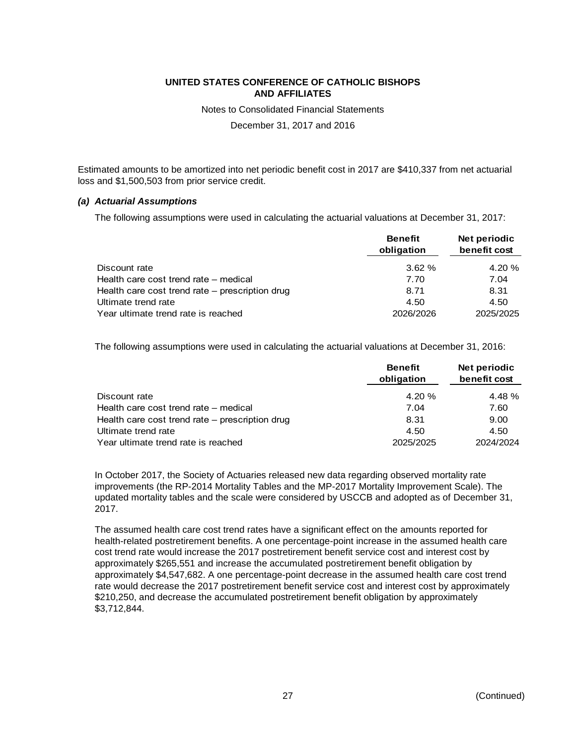Notes to Consolidated Financial Statements

December 31, 2017 and 2016

Estimated amounts to be amortized into net periodic benefit cost in 2017 are \$410,337 from net actuarial loss and \$1,500,503 from prior service credit.

#### *(a) Actuarial Assumptions*

The following assumptions were used in calculating the actuarial valuations at December 31, 2017:

|                                                 | <b>Benefit</b><br>obligation | Net periodic<br>benefit cost |
|-------------------------------------------------|------------------------------|------------------------------|
| Discount rate                                   | 3.62%                        | 4.20 %                       |
| Health care cost trend rate – medical           | 7.70                         | 7.04                         |
| Health care cost trend rate – prescription drug | 8.71                         | 8.31                         |
| Ultimate trend rate                             | 4.50                         | 4.50                         |
| Year ultimate trend rate is reached             | 2026/2026                    | 2025/2025                    |

The following assumptions were used in calculating the actuarial valuations at December 31, 2016:

|                                                 | <b>Benefit</b><br>obligation | Net periodic<br>benefit cost |
|-------------------------------------------------|------------------------------|------------------------------|
| Discount rate                                   | $4.20 \%$                    | 4.48%                        |
| Health care cost trend rate – medical           | 7.04                         | 7.60                         |
| Health care cost trend rate – prescription drug | 8.31                         | 9.00                         |
| Ultimate trend rate                             | 4.50                         | 4.50                         |
| Year ultimate trend rate is reached             | 2025/2025                    | 2024/2024                    |

In October 2017, the Society of Actuaries released new data regarding observed mortality rate improvements (the RP-2014 Mortality Tables and the MP-2017 Mortality Improvement Scale). The updated mortality tables and the scale were considered by USCCB and adopted as of December 31, 2017.

The assumed health care cost trend rates have a significant effect on the amounts reported for health-related postretirement benefits. A one percentage-point increase in the assumed health care cost trend rate would increase the 2017 postretirement benefit service cost and interest cost by approximately \$265,551 and increase the accumulated postretirement benefit obligation by approximately \$4,547,682. A one percentage-point decrease in the assumed health care cost trend rate would decrease the 2017 postretirement benefit service cost and interest cost by approximately \$210,250, and decrease the accumulated postretirement benefit obligation by approximately \$3,712,844.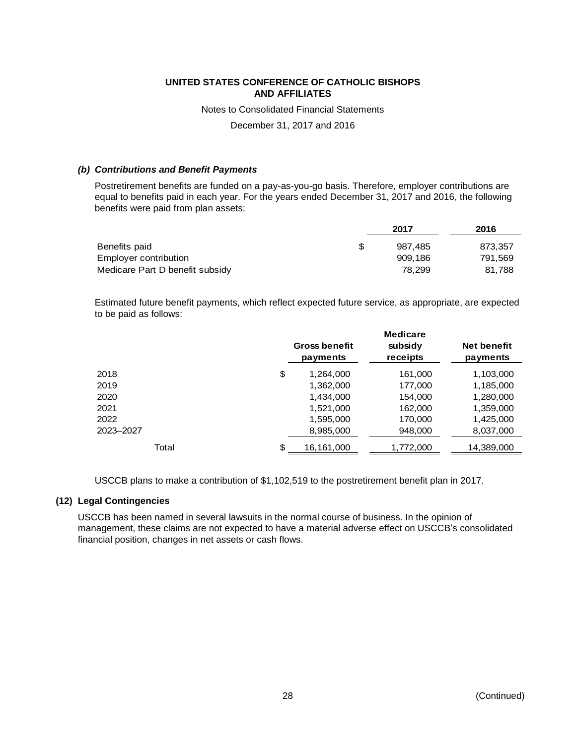Notes to Consolidated Financial Statements

December 31, 2017 and 2016

#### *(b) Contributions and Benefit Payments*

Postretirement benefits are funded on a pay-as-you-go basis. Therefore, employer contributions are equal to benefits paid in each year. For the years ended December 31, 2017 and 2016, the following benefits were paid from plan assets:

|                                 | 2017    |         |
|---------------------------------|---------|---------|
| Benefits paid<br>-SS            | 987.485 | 873.357 |
| Employer contribution           | 909.186 | 791,569 |
| Medicare Part D benefit subsidy | 78.299  | 81.788  |

Estimated future benefit payments, which reflect expected future service, as appropriate, are expected to be paid as follows:

|           | <b>Medicare</b>                  |                     |                                |
|-----------|----------------------------------|---------------------|--------------------------------|
|           | <b>Gross benefit</b><br>payments | subsidy<br>receipts | <b>Net benefit</b><br>payments |
| 2018      | \$<br>1,264,000                  | 161,000             | 1,103,000                      |
| 2019      | 1,362,000                        | 177,000             | 1,185,000                      |
| 2020      | 1,434,000                        | 154,000             | 1,280,000                      |
| 2021      | 1,521,000                        | 162,000             | 1,359,000                      |
| 2022      | 1,595,000                        | 170,000             | 1,425,000                      |
| 2023-2027 | 8,985,000                        | 948,000             | 8,037,000                      |
| Total     | \$<br>16,161,000                 | 1,772,000           | 14,389,000                     |

USCCB plans to make a contribution of \$1,102,519 to the postretirement benefit plan in 2017.

#### **(12) Legal Contingencies**

USCCB has been named in several lawsuits in the normal course of business. In the opinion of management, these claims are not expected to have a material adverse effect on USCCB's consolidated financial position, changes in net assets or cash flows.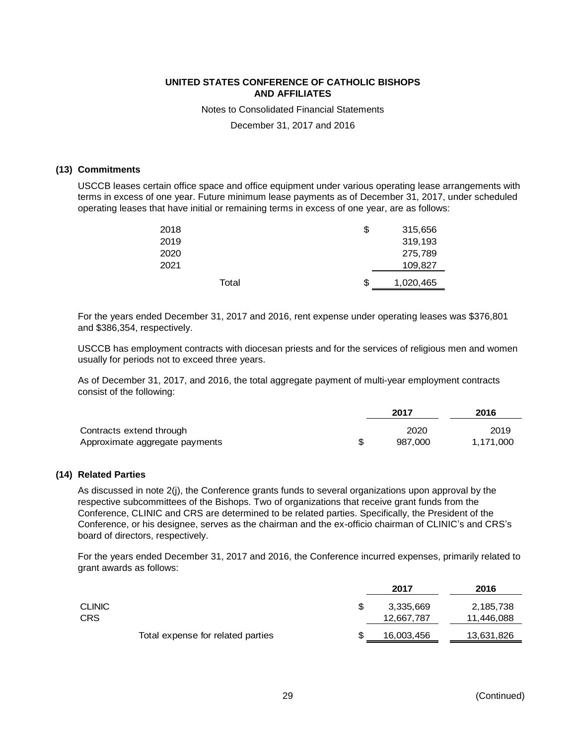Notes to Consolidated Financial Statements

December 31, 2017 and 2016

#### **(13) Commitments**

USCCB leases certain office space and office equipment under various operating lease arrangements with terms in excess of one year. Future minimum lease payments as of December 31, 2017, under scheduled operating leases that have initial or remaining terms in excess of one year, are as follows:

| 2018 |       | \$<br>315,656   |
|------|-------|-----------------|
| 2019 |       | 319,193         |
| 2020 |       | 275,789         |
| 2021 |       | 109,827         |
|      | Total | \$<br>1,020,465 |

For the years ended December 31, 2017 and 2016, rent expense under operating leases was \$376,801 and \$386,354, respectively.

USCCB has employment contracts with diocesan priests and for the services of religious men and women usually for periods not to exceed three years.

As of December 31, 2017, and 2016, the total aggregate payment of multi-year employment contracts consist of the following:

|                                | 2017    | 2016      |  |
|--------------------------------|---------|-----------|--|
| Contracts extend through       | 2020    | 2019      |  |
| Approximate aggregate payments | 987.000 | 1.171.000 |  |

#### **(14) Related Parties**

As discussed in note 2(j), the Conference grants funds to several organizations upon approval by the respective subcommittees of the Bishops. Two of organizations that receive grant funds from the Conference, CLINIC and CRS are determined to be related parties. Specifically, the President of the Conference, or his designee, serves as the chairman and the ex-officio chairman of CLINIC's and CRS's board of directors, respectively.

For the years ended December 31, 2017 and 2016, the Conference incurred expenses, primarily related to grant awards as follows:

| 2017                              | 2016       |
|-----------------------------------|------------|
| 3,335,669                         | 2,185,738  |
| 12,667,787                        | 11,446,088 |
| 16,003,456                        | 13,631,826 |
| Total expense for related parties |            |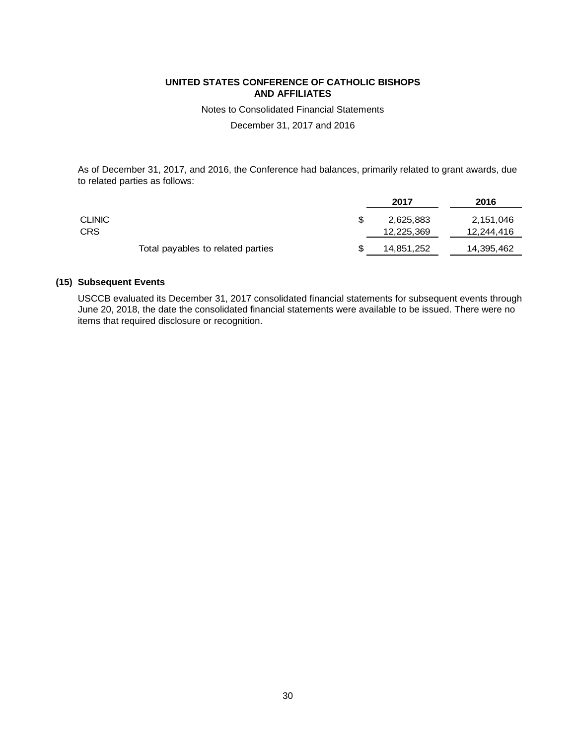Notes to Consolidated Financial Statements

December 31, 2017 and 2016

As of December 31, 2017, and 2016, the Conference had balances, primarily related to grant awards, due to related parties as follows:

|               |                                   | 2017       | 2016       |
|---------------|-----------------------------------|------------|------------|
| <b>CLINIC</b> |                                   | 2,625,883  | 2,151,046  |
| CRS           |                                   | 12,225,369 | 12,244,416 |
|               | Total payables to related parties | 14,851,252 | 14,395,462 |

### **(15) Subsequent Events**

USCCB evaluated its December 31, 2017 consolidated financial statements for subsequent events through June 20, 2018, the date the consolidated financial statements were available to be issued. There were no items that required disclosure or recognition.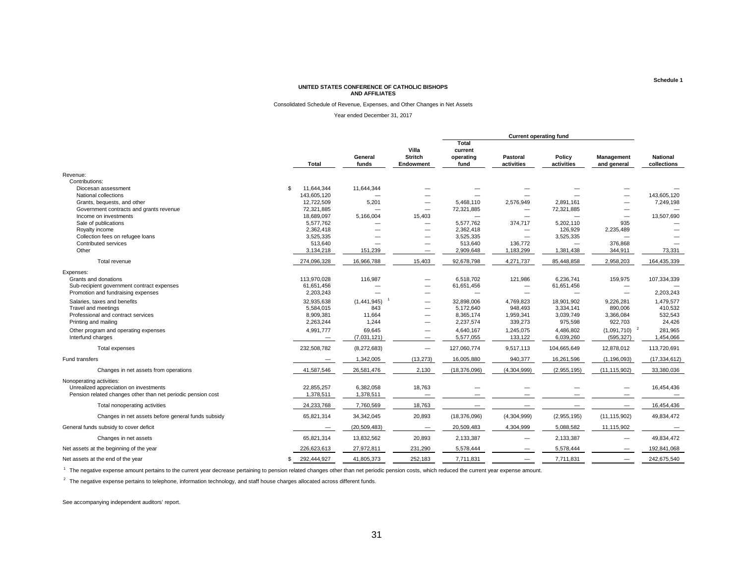#### Consolidated Schedule of Revenue, Expenses, and Other Changes in Net Assets

Year ended December 31, 2017

|                                                              | <b>Total</b>                    | General<br>funds | Villa<br><b>Stritch</b><br><b>Endowment</b> | Total<br>current<br>operating<br>fund | Pastoral<br>activities            | Policy<br>activities | Management<br>and general | <b>National</b><br>collections |
|--------------------------------------------------------------|---------------------------------|------------------|---------------------------------------------|---------------------------------------|-----------------------------------|----------------------|---------------------------|--------------------------------|
| Revenue:                                                     |                                 |                  |                                             |                                       |                                   |                      |                           |                                |
| Contributions:                                               |                                 |                  |                                             |                                       |                                   |                      |                           |                                |
| Diocesan assessment                                          | s.<br>11,644,344                | 11,644,344       |                                             |                                       |                                   |                      |                           |                                |
| National collections                                         | 143,605,120                     |                  | —                                           |                                       |                                   |                      |                           | 143,605,120                    |
| Grants, bequests, and other                                  | 12,722,509                      | 5,201            | —                                           | 5,468,110                             | 2,576,949                         | 2,891,161            | -                         | 7,249,198                      |
| Government contracts and grants revenue                      | 72,321,885                      |                  | $\overline{\phantom{m}}$                    | 72,321,885                            | $\overline{\phantom{0}}$          | 72,321,885           |                           |                                |
| Income on investments                                        | 18.689.097                      | 5,166,004        | 15,403                                      |                                       | $\overline{\phantom{0}}$          |                      |                           | 13,507,690                     |
| Sale of publications                                         | 5,577,762                       |                  | -                                           | 5,577,762                             | 374,717                           | 5,202,110            | 935                       |                                |
| Royalty income                                               | 2,362,418                       |                  | —<br>—                                      | 2,362,418                             |                                   | 126,929              | 2,235,489                 |                                |
| Collection fees on refugee loans                             | 3,525,335                       | –                | $\overline{\phantom{0}}$                    | 3,525,335                             |                                   | 3,525,335            |                           |                                |
| Contributed services                                         | 513,640                         |                  | $\qquad \qquad -$                           | 513,640                               | 136,772                           |                      | 376,868                   |                                |
| Other                                                        | 3,134,218                       | 151,239          | —                                           | 2,909,648                             | 1,183,299                         | 1,381,438            | 344,911                   | 73,331                         |
| Total revenue                                                | 274,096,328                     | 16,966,788       | 15,403                                      | 92,678,798                            | 4,271,737                         | 85,448,858           | 2,958,203                 | 164,435,339                    |
| Expenses:                                                    |                                 |                  |                                             |                                       |                                   |                      |                           |                                |
| Grants and donations                                         | 113,970,028                     | 116,987          |                                             | 6,518,702                             | 121,986                           | 6,236,741            | 159,975                   | 107,334,339                    |
| Sub-recipient government contract expenses                   | 61,651,456                      |                  | $\qquad \qquad -$                           | 61,651,456                            | $\overline{\phantom{m}}$          | 61,651,456           | $\overline{\phantom{a}}$  |                                |
| Promotion and fundraising expenses                           | 2,203,243                       |                  | $\qquad \qquad$                             | $\overline{\phantom{0}}$              | $\overbrace{\phantom{123221111}}$ |                      |                           | 2,203,243                      |
| Salaries, taxes and benefits                                 | 32,935,638                      | (1,441,945)      | $\qquad \qquad -$                           | 32,898,006                            | 4,769,823                         | 18,901,902           | 9,226,281                 | 1,479,577                      |
| Travel and meetings                                          | 5,584,015                       | 843              | —                                           | 5,172,640                             | 948,493                           | 3,334,141            | 890,006                   | 410,532                        |
| Professional and contract services                           | 8,909,381                       | 11,664           | $\overline{\phantom{a}}$                    | 8,365,174                             | 1,959,341                         | 3,039,749            | 3,366,084                 | 532,543                        |
| Printing and mailing                                         | 2,263,244                       | 1,244            | —                                           | 2,237,574                             | 339,273                           | 975,598              | 922,703                   | 24,426                         |
| Other program and operating expenses                         | 4,991,777                       | 69,645           |                                             | 4,640,167                             | 1,245,075                         | 4,486,802            | $(1,091,710)^{-2}$        | 281,965                        |
| Interfund charges                                            | $\qquad \qquad \longleftarrow$  | (7,031,121)      | $\overline{\phantom{m}}$                    | 5,577,055                             | 133,122                           | 6,039,260            | (595, 327)                | 1,454,066                      |
| <b>Total expenses</b>                                        | 232,508,782                     | (8,272,683)      | $\equiv$                                    | 127,060,774                           | 9,517,113                         | 104,665,649          | 12,878,012                | 113,720,691                    |
| Fund transfers                                               | $\hspace{0.1mm}-\hspace{0.1mm}$ | 1,342,005        | (13, 273)                                   | 16,005,880                            | 940,377                           | 16,261,596           | (1, 196, 093)             | (17, 334, 612)                 |
| Changes in net assets from operations                        | 41,587,546                      | 26,581,476       | 2,130                                       | (18,376,096)                          | (4,304,999)                       | (2,955,195)          | (11, 115, 902)            | 33,380,036                     |
| Nonoperating activities:                                     |                                 |                  |                                             |                                       |                                   |                      |                           |                                |
| Unrealized appreciation on investments                       | 22,855,257                      | 6,382,058        | 18,763                                      |                                       |                                   |                      |                           | 16,454,436                     |
| Pension related changes other than net periodic pension cost | 1,378,511                       | 1,378,511        | $\overline{\phantom{m}}$                    |                                       |                                   |                      | $\overline{\phantom{m}}$  | $\overline{\phantom{m}}$       |
| Total nonoperating activities                                | 24,233,768                      | 7,760,569        | 18,763                                      |                                       |                                   |                      | $\overline{\phantom{m}}$  | 16,454,436                     |
| Changes in net assets before general funds subsidy           | 65,821,314                      | 34,342,045       | 20,893                                      | (18, 376, 096)                        | (4,304,999)                       | (2,955,195)          | (11, 115, 902)            | 49,834,472                     |
| General funds subsidy to cover deficit                       | $\overline{\phantom{0}}$        | (20, 509, 483)   | $\overline{\phantom{m}}$                    | 20,509,483                            | 4,304,999                         | 5,088,582            | 11,115,902                |                                |
| Changes in net assets                                        | 65,821,314                      | 13,832,562       | 20,893                                      | 2,133,387                             |                                   | 2,133,387            |                           | 49,834,472                     |
| Net assets at the beginning of the year                      | 226,623,613                     | 27,972,811       | 231,290                                     | 5,578,444                             |                                   | 5,578,444            |                           | 192,841,068                    |
| Net assets at the end of the year                            | 292,444,927<br>\$               | 41,805,373       | 252,183                                     | 7,711,831                             |                                   | 7,711,831            |                           | 242,675,540                    |

<sup>1</sup> The negative expense amount pertains to the current year decrease pertaining to pension related changes other than net periodic pension costs, which reduced the current year expense amount.

 $2$  The negative expense pertains to telephone, information technology, and staff house charges allocated across different funds.

See accompanying independent auditors' report.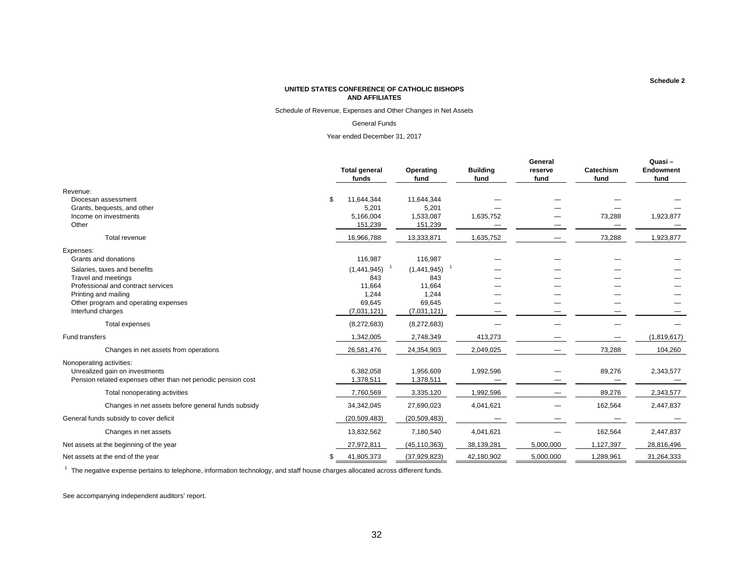Schedule of Revenue, Expenses and Other Changes in Net Assets

#### General Funds

Year ended December 31, 2017

|                                                               | <b>Total general</b><br>funds | Operating<br>fund | <b>Building</b><br>fund | General<br>reserve<br>fund | Catechism<br>fund | Quasi-<br>Endowment<br>fund |
|---------------------------------------------------------------|-------------------------------|-------------------|-------------------------|----------------------------|-------------------|-----------------------------|
| Revenue:                                                      |                               |                   |                         |                            |                   |                             |
| Diocesan assessment                                           | \$<br>11,644,344              | 11,644,344        |                         |                            |                   |                             |
| Grants, bequests, and other                                   | 5,201                         | 5,201             |                         |                            |                   |                             |
| Income on investments                                         | 5,166,004                     | 1,533,087         | 1,635,752               |                            | 73,288            | 1,923,877                   |
| Other                                                         | 151,239                       | 151,239           |                         |                            |                   |                             |
| Total revenue                                                 | 16,966,788                    | 13,333,871        | 1,635,752               |                            | 73,288            | 1,923,877                   |
| Expenses:                                                     |                               |                   |                         |                            |                   |                             |
| Grants and donations                                          | 116,987                       | 116,987           |                         |                            |                   |                             |
| Salaries, taxes and benefits                                  | (1,441,945)                   | (1,441,945)       |                         |                            |                   |                             |
| Travel and meetings                                           | 843                           | 843               |                         |                            |                   |                             |
| Professional and contract services                            | 11,664                        | 11,664            |                         |                            |                   |                             |
| Printing and mailing                                          | 1,244                         | 1,244             |                         |                            |                   |                             |
| Other program and operating expenses                          | 69,645                        | 69,645            |                         |                            |                   |                             |
| Interfund charges                                             | (7,031,121)                   | (7,031,121)       |                         |                            |                   |                             |
| Total expenses                                                | (8,272,683)                   | (8,272,683)       |                         |                            |                   |                             |
| Fund transfers                                                | 1,342,005                     | 2,748,349         | 413,273                 |                            |                   | (1,819,617)                 |
| Changes in net assets from operations                         | 26,581,476                    | 24,354,903        | 2,049,025               |                            | 73,288            | 104,260                     |
| Nonoperating activities:                                      |                               |                   |                         |                            |                   |                             |
| Unrealized gain on investments                                | 6,382,058                     | 1,956,609         | 1,992,596               |                            | 89,276            | 2,343,577                   |
| Pension related expenses other than net periodic pension cost | 1,378,511                     | 1,378,511         |                         |                            |                   |                             |
| Total nonoperating activities                                 | 7,760,569                     | 3,335,120         | 1,992,596               |                            | 89,276            | 2,343,577                   |
| Changes in net assets before general funds subsidy            | 34,342,045                    | 27,690,023        | 4,041,621               |                            | 162,564           | 2,447,837                   |
| General funds subsidy to cover deficit                        | (20, 509, 483)                | (20, 509, 483)    |                         |                            |                   |                             |
| Changes in net assets                                         | 13,832,562                    | 7,180,540         | 4,041,621               |                            | 162,564           | 2,447,837                   |
| Net assets at the beginning of the year                       | 27,972,811                    | (45, 110, 363)    | 38,139,281              | 5,000,000                  | 1,127,397         | 28,816,496                  |
| Net assets at the end of the year                             | \$<br>41,805,373              | (37, 929, 823)    | 42,180,902              | 5,000,000                  | 1,289,961         | 31,264,333                  |

 $1$  The negative expense pertains to telephone, information technology, and staff house charges allocated across different funds.

See accompanying independent auditors' report.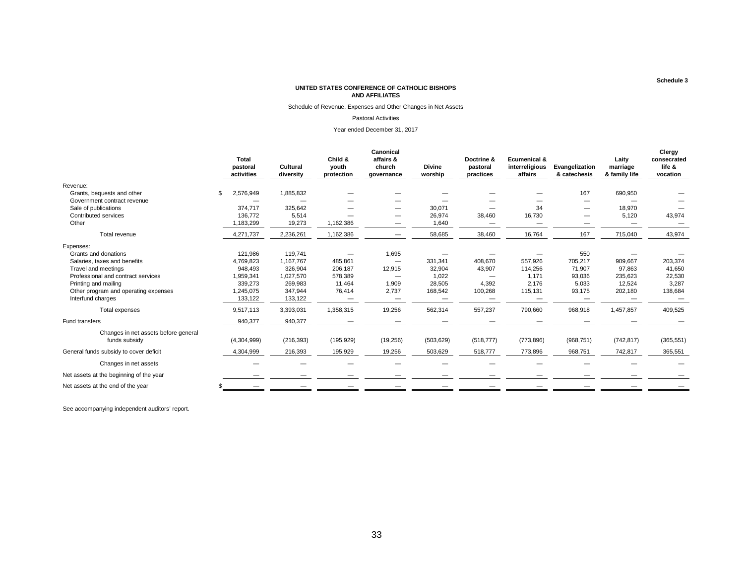Schedule of Revenue, Expenses and Other Changes in Net Assets

#### Pastoral Activities

Year ended December 31, 2017

|                                         |                                        |                       |                                | Canonical                         |                          |                                     |                                                      |                                |                                    | Clergy                            |
|-----------------------------------------|----------------------------------------|-----------------------|--------------------------------|-----------------------------------|--------------------------|-------------------------------------|------------------------------------------------------|--------------------------------|------------------------------------|-----------------------------------|
|                                         | <b>Total</b><br>pastoral<br>activities | Cultural<br>diversity | Child &<br>youth<br>protection | affairs &<br>church<br>governance | <b>Divine</b><br>worship | Doctrine &<br>pastoral<br>practices | <b>Ecumenical &amp;</b><br>interreligious<br>affairs | Evangelization<br>& catechesis | Laity<br>marriage<br>& family life | consecrated<br>life &<br>vocation |
| Revenue:                                |                                        |                       |                                |                                   |                          |                                     |                                                      |                                |                                    |                                   |
| Grants, bequests and other              | 2,576,949                              | 1,885,832             |                                |                                   |                          |                                     |                                                      | 167                            | 690,950                            |                                   |
| Government contract revenue             |                                        |                       |                                |                                   |                          |                                     |                                                      |                                |                                    |                                   |
| Sale of publications                    | 374,717                                | 325,642               |                                |                                   | 30,071                   |                                     | 34                                                   |                                | 18,970                             |                                   |
| Contributed services                    | 136,772                                | 5,514                 |                                | –                                 | 26,974                   | 38,460                              | 16,730                                               |                                | 5,120                              | 43,974                            |
| Other                                   | 1,183,299                              | 19,273                | 1,162,386                      |                                   | 1,640                    |                                     | —                                                    |                                | —                                  |                                   |
| Total revenue                           | 4,271,737                              | 2,236,261             | 1,162,386                      |                                   | 58,685                   | 38,460                              | 16,764                                               | 167                            | 715,040                            | 43,974                            |
| Expenses:                               |                                        |                       |                                |                                   |                          |                                     |                                                      |                                |                                    |                                   |
| Grants and donations                    | 121,986                                | 119,741               |                                | 1,695                             |                          |                                     |                                                      | 550                            |                                    |                                   |
| Salaries, taxes and benefits            | 4,769,823                              | 1,167,767             | 485,861                        |                                   | 331,341                  | 408,670                             | 557.926                                              | 705,217                        | 909,667                            | 203,374                           |
| Travel and meetings                     | 948,493                                | 326,904               | 206,187                        | 12,915                            | 32,904                   | 43,907                              | 114,256                                              | 71,907                         | 97,863                             | 41,650                            |
| Professional and contract services      | 1,959,341                              | 1.027.570             | 578,389                        |                                   | 1,022                    |                                     | 1.171                                                | 93,036                         | 235,623                            | 22,530                            |
| Printing and mailing                    | 339,273                                | 269,983               | 11,464                         | 1,909                             | 28,505                   | 4,392                               | 2,176                                                | 5,033                          | 12,524                             | 3,287                             |
| Other program and operating expenses    | 1,245,075                              | 347,944               | 76,414                         | 2,737                             | 168,542                  | 100,268                             | 115,131                                              | 93,175                         | 202,180                            | 138,684                           |
| Interfund charges                       | 133,122                                | 133,122               |                                | $\qquad \qquad$                   | $\overline{\phantom{0}}$ |                                     |                                                      |                                |                                    |                                   |
| Total expenses                          | 9,517,113                              | 3,393,031             | 1,358,315                      | 19,256                            | 562,314                  | 557,237                             | 790,660                                              | 968,918                        | 1,457,857                          | 409,525                           |
| Fund transfers                          | 940,377                                | 940,377               |                                |                                   |                          |                                     |                                                      |                                |                                    |                                   |
| Changes in net assets before general    |                                        |                       |                                |                                   |                          |                                     |                                                      |                                |                                    |                                   |
| funds subsidy                           | (4,304,999)                            | (216, 393)            | (195, 929)                     | (19, 256)                         | (503, 629)               | (518, 777)                          | (773, 896)                                           | (968, 751)                     | (742, 817)                         | (365, 551)                        |
| General funds subsidy to cover deficit  | 4,304,999                              | 216,393               | 195,929                        | 19,256                            | 503,629                  | 518,777                             | 773,896                                              | 968,751                        | 742,817                            | 365,551                           |
| Changes in net assets                   |                                        |                       |                                |                                   |                          |                                     |                                                      |                                |                                    |                                   |
| Net assets at the beginning of the year |                                        |                       |                                |                                   |                          |                                     |                                                      |                                |                                    |                                   |
| Net assets at the end of the year       |                                        |                       |                                |                                   |                          |                                     |                                                      |                                |                                    |                                   |

See accompanying independent auditors' report.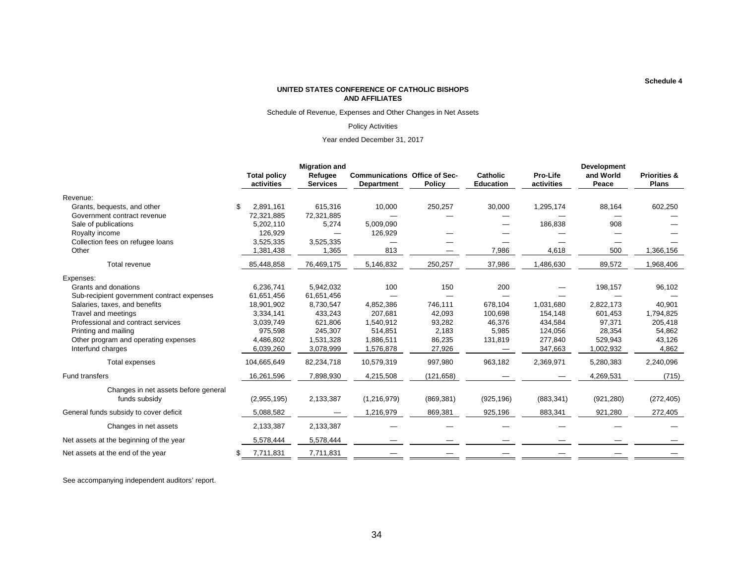Schedule of Revenue, Expenses and Other Changes in Net Assets

#### Policy Activities

#### Year ended December 31, 2017

|                                                       |                                   | <b>Migration and</b>       |                                                           |            |                                     |                        | <b>Development</b> |                                         |  |  |
|-------------------------------------------------------|-----------------------------------|----------------------------|-----------------------------------------------------------|------------|-------------------------------------|------------------------|--------------------|-----------------------------------------|--|--|
|                                                       | <b>Total policy</b><br>activities | Refugee<br><b>Services</b> | <b>Communications Office of Sec-</b><br><b>Department</b> | Policy     | <b>Catholic</b><br><b>Education</b> | Pro-Life<br>activities | and World<br>Peace | <b>Priorities &amp;</b><br><b>Plans</b> |  |  |
| Revenue:                                              |                                   |                            |                                                           |            |                                     |                        |                    |                                         |  |  |
| Grants, bequests, and other                           | \$.<br>2.891.161                  | 615,316                    | 10,000                                                    | 250,257    | 30,000                              | 1,295,174              | 88,164             | 602,250                                 |  |  |
| Government contract revenue                           | 72,321,885                        | 72,321,885                 |                                                           |            |                                     |                        |                    |                                         |  |  |
| Sale of publications                                  | 5,202,110                         | 5,274                      | 5,009,090                                                 |            |                                     | 186,838                | 908                |                                         |  |  |
| Royalty income                                        | 126,929                           |                            | 126,929                                                   |            |                                     |                        |                    |                                         |  |  |
| Collection fees on refugee loans                      | 3,525,335                         | 3,525,335                  |                                                           |            |                                     |                        |                    |                                         |  |  |
| Other                                                 | 1,381,438                         | 1,365                      | 813                                                       |            | 7,986                               | 4,618                  | 500                | 1,366,156                               |  |  |
| Total revenue                                         | 85,448,858                        | 76,469,175                 | 5,146,832                                                 | 250,257    | 37,986                              | 1,486,630              | 89,572             | 1,968,406                               |  |  |
| Expenses:                                             |                                   |                            |                                                           |            |                                     |                        |                    |                                         |  |  |
| Grants and donations                                  | 6,236,741                         | 5,942,032                  | 100                                                       | 150        | 200                                 |                        | 198,157            | 96,102                                  |  |  |
| Sub-recipient government contract expenses            | 61,651,456                        | 61,651,456                 |                                                           |            |                                     |                        |                    |                                         |  |  |
| Salaries, taxes, and benefits                         | 18,901,902                        | 8,730,547                  | 4,852,386                                                 | 746,111    | 678,104                             | 1,031,680              | 2,822,173          | 40,901                                  |  |  |
| Travel and meetings                                   | 3,334,141                         | 433,243                    | 207,681                                                   | 42,093     | 100,698                             | 154,148                | 601,453            | 1,794,825                               |  |  |
| Professional and contract services                    | 3,039,749                         | 621,806                    | 1,540,912                                                 | 93,282     | 46,376                              | 434,584                | 97,371             | 205,418                                 |  |  |
| Printing and mailing                                  | 975,598                           | 245,307                    | 514,851                                                   | 2,183      | 5,985                               | 124,056                | 28,354             | 54,862                                  |  |  |
| Other program and operating expenses                  | 4,486,802                         | 1,531,328                  | 1,886,511                                                 | 86,235     | 131,819                             | 277,840                | 529,943            | 43,126                                  |  |  |
| Interfund charges                                     | 6,039,260                         | 3,078,999                  | 1,576,878                                                 | 27,926     |                                     | 347,663                | 1,002,932          | 4,862                                   |  |  |
| Total expenses                                        | 104,665,649                       | 82,234,718                 | 10,579,319                                                | 997,980    | 963,182                             | 2,369,971              | 5,280,383          | 2,240,096                               |  |  |
| Fund transfers                                        | 16,261,596                        | 7,898,930                  | 4,215,508                                                 | (121, 658) |                                     |                        | 4,269,531          | (715)                                   |  |  |
| Changes in net assets before general<br>funds subsidy | (2,955,195)                       | 2,133,387                  | (1, 216, 979)                                             | (869, 381) | (925, 196)                          | (883, 341)             | (921, 280)         | (272, 405)                              |  |  |
| General funds subsidy to cover deficit                | 5,088,582                         |                            | 1,216,979                                                 | 869,381    | 925,196                             | 883,341                | 921,280            | 272,405                                 |  |  |
| Changes in net assets                                 | 2,133,387                         | 2,133,387                  |                                                           |            |                                     |                        |                    |                                         |  |  |
| Net assets at the beginning of the year               | 5,578,444                         | 5,578,444                  |                                                           |            |                                     |                        |                    |                                         |  |  |
| Net assets at the end of the year                     | 7,711,831<br>S.                   | 7,711,831                  |                                                           |            |                                     |                        |                    |                                         |  |  |

See accompanying independent auditors' report.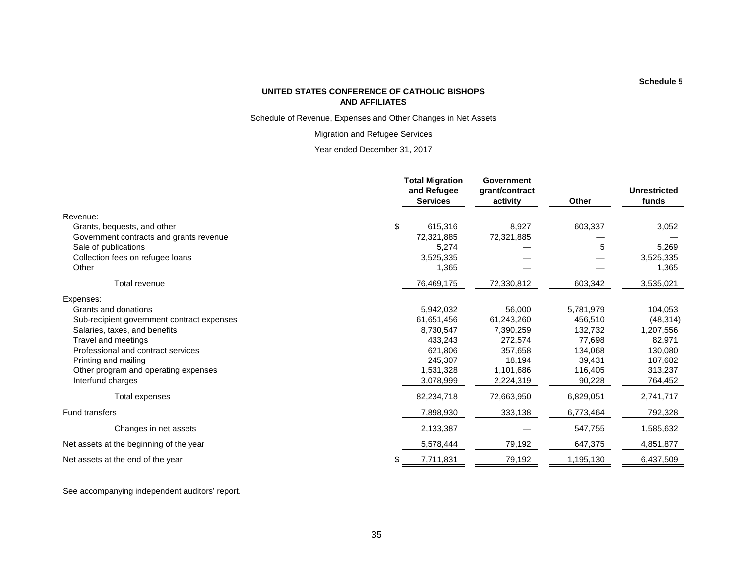Schedule of Revenue, Expenses and Other Changes in Net Assets

Migration and Refugee Services

Year ended December 31, 2017

|                                            | <b>Total Migration</b><br>and Refugee<br><b>Services</b> | <b>Government</b><br>grant/contract<br>activity | Other     | <b>Unrestricted</b><br>funds |
|--------------------------------------------|----------------------------------------------------------|-------------------------------------------------|-----------|------------------------------|
| Revenue:                                   |                                                          |                                                 |           |                              |
| Grants, bequests, and other                | \$<br>615,316                                            | 8,927                                           | 603,337   | 3,052                        |
| Government contracts and grants revenue    | 72,321,885                                               | 72,321,885                                      |           |                              |
| Sale of publications                       | 5,274                                                    |                                                 | 5         | 5,269                        |
| Collection fees on refugee loans           | 3,525,335                                                |                                                 |           | 3,525,335                    |
| Other                                      | 1,365                                                    |                                                 |           | 1,365                        |
| Total revenue                              | 76,469,175                                               | 72,330,812                                      | 603,342   | 3,535,021                    |
| Expenses:                                  |                                                          |                                                 |           |                              |
| Grants and donations                       | 5,942,032                                                | 56,000                                          | 5,781,979 | 104,053                      |
| Sub-recipient government contract expenses | 61,651,456                                               | 61,243,260                                      | 456,510   | (48, 314)                    |
| Salaries, taxes, and benefits              | 8,730,547                                                | 7,390,259                                       | 132,732   | 1,207,556                    |
| Travel and meetings                        | 433,243                                                  | 272,574                                         | 77,698    | 82,971                       |
| Professional and contract services         | 621,806                                                  | 357,658                                         | 134,068   | 130,080                      |
| Printing and mailing                       | 245,307                                                  | 18,194                                          | 39,431    | 187,682                      |
| Other program and operating expenses       | 1,531,328                                                | 1,101,686                                       | 116,405   | 313,237                      |
| Interfund charges                          | 3,078,999                                                | 2,224,319                                       | 90,228    | 764,452                      |
| Total expenses                             | 82,234,718                                               | 72,663,950                                      | 6,829,051 | 2,741,717                    |
| <b>Fund transfers</b>                      | 7,898,930                                                | 333,138                                         | 6,773,464 | 792,328                      |
| Changes in net assets                      | 2,133,387                                                |                                                 | 547,755   | 1,585,632                    |
| Net assets at the beginning of the year    | 5,578,444                                                | 79,192                                          | 647,375   | 4,851,877                    |
| Net assets at the end of the year          | \$<br>7,711,831                                          | 79,192                                          | 1,195,130 | 6,437,509                    |

See accompanying independent auditors' report.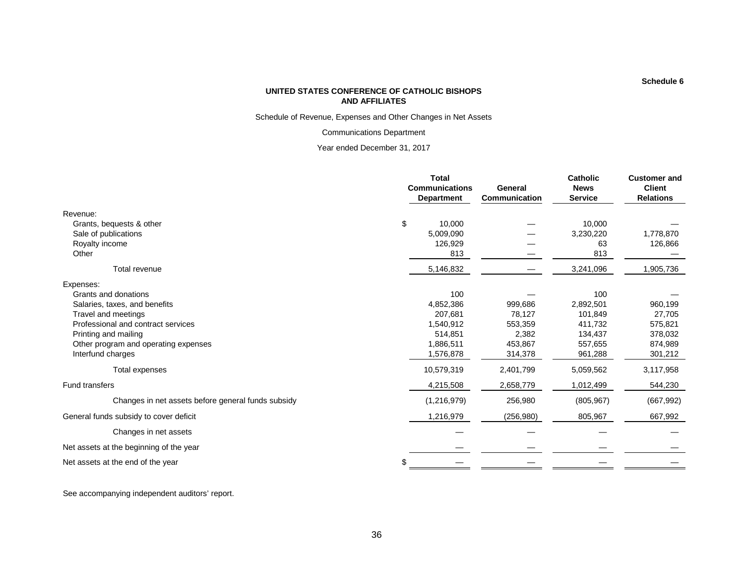Schedule of Revenue, Expenses and Other Changes in Net Assets

Communications Department

Year ended December 31, 2017

|                                                    | <b>Total</b><br><b>Communications</b><br><b>Department</b> | General<br>Communication | <b>Catholic</b><br><b>News</b><br><b>Service</b> | <b>Customer and</b><br><b>Client</b><br><b>Relations</b> |  |
|----------------------------------------------------|------------------------------------------------------------|--------------------------|--------------------------------------------------|----------------------------------------------------------|--|
| Revenue:                                           |                                                            |                          |                                                  |                                                          |  |
| \$<br>Grants, bequests & other                     | 10,000                                                     |                          | 10.000                                           |                                                          |  |
| Sale of publications                               | 5,009,090                                                  |                          | 3,230,220                                        | 1,778,870                                                |  |
| Royalty income                                     | 126,929                                                    |                          | 63                                               | 126,866                                                  |  |
| Other                                              | 813                                                        |                          | 813                                              |                                                          |  |
| <b>Total revenue</b>                               | 5,146,832                                                  |                          | 3,241,096                                        | 1,905,736                                                |  |
| Expenses:                                          |                                                            |                          |                                                  |                                                          |  |
| Grants and donations                               | 100                                                        |                          | 100                                              |                                                          |  |
| Salaries, taxes, and benefits                      | 4,852,386                                                  | 999,686                  | 2,892,501                                        | 960,199                                                  |  |
| Travel and meetings                                | 207.681                                                    | 78,127                   | 101,849                                          | 27,705                                                   |  |
| Professional and contract services                 | 1,540,912                                                  | 553,359                  | 411.732                                          | 575,821                                                  |  |
| Printing and mailing                               | 514,851                                                    | 2,382                    | 134,437                                          | 378,032                                                  |  |
| Other program and operating expenses               | 1,886,511                                                  | 453,867                  | 557,655                                          | 874,989                                                  |  |
| Interfund charges                                  | 1,576,878                                                  | 314,378                  | 961,288                                          | 301,212                                                  |  |
| Total expenses                                     | 10,579,319                                                 | 2,401,799                | 5,059,562                                        | 3,117,958                                                |  |
| <b>Fund transfers</b>                              | 4,215,508                                                  | 2,658,779                | 1,012,499                                        | 544,230                                                  |  |
| Changes in net assets before general funds subsidy | (1,216,979)                                                | 256,980                  | (805, 967)                                       | (667, 992)                                               |  |
| General funds subsidy to cover deficit             | 1,216,979                                                  | (256, 980)               | 805,967                                          | 667,992                                                  |  |
| Changes in net assets                              |                                                            |                          |                                                  |                                                          |  |
| Net assets at the beginning of the year            |                                                            |                          |                                                  |                                                          |  |
| Net assets at the end of the year                  |                                                            |                          |                                                  |                                                          |  |

See accompanying independent auditors' report.

36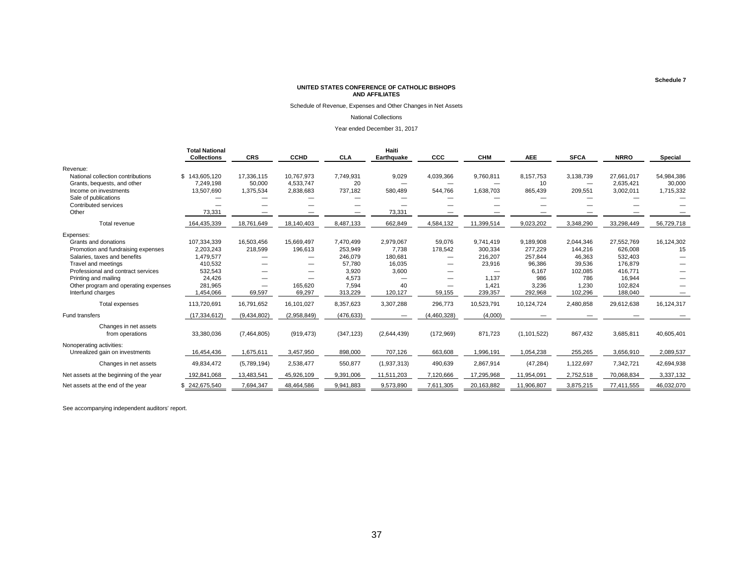Schedule of Revenue, Expenses and Other Changes in Net Assets

#### National Collections

Year ended December 31, 2017

|                                                                  | <b>Total National</b><br><b>Collections</b> | <b>CRS</b>           | <b>CCHD</b>             | <b>CLA</b>      | Haiti<br>Earthquake               | CCC         | <b>CHM</b> | <b>AEE</b>      | <b>SFCA</b>                           | <b>NRRO</b>             | <b>Special</b>       |
|------------------------------------------------------------------|---------------------------------------------|----------------------|-------------------------|-----------------|-----------------------------------|-------------|------------|-----------------|---------------------------------------|-------------------------|----------------------|
| Revenue:                                                         |                                             |                      |                         |                 |                                   |             |            |                 |                                       |                         |                      |
| National collection contributions<br>Grants, bequests, and other | \$143,605.120<br>7.249.198                  | 17,336,115<br>50,000 | 10.767.973<br>4,533,747 | 7,749,931<br>20 | 9,029<br>$\overline{\phantom{0}}$ | 4,039,366   | 9,760,811  | 8,157,753<br>10 | 3,138,739<br>$\overline{\phantom{0}}$ | 27,661,017<br>2,635,421 | 54,984,386<br>30,000 |
| Income on investments                                            | 13,507,690                                  | 1,375,534            | 2,838,683               | 737,182         | 580,489                           | 544,766     | 1,638,703  | 865,439         | 209,551                               | 3,002,011               | 1,715,332            |
| Sale of publications                                             |                                             |                      |                         |                 |                                   |             |            |                 |                                       |                         |                      |
| Contributed services<br>Other                                    | 73,331                                      |                      |                         |                 | 73,331                            |             |            |                 |                                       |                         |                      |
| Total revenue                                                    | 164,435,339                                 | 18,761,649           | 18,140,403              | 8,487,133       | 662,849                           | 4,584,132   | 11,399,514 | 9,023,202       | 3,348,290                             | 33,298,449              | 56,729,718           |
| Expenses:                                                        |                                             |                      |                         |                 |                                   |             |            |                 |                                       |                         |                      |
| Grants and donations                                             | 107,334,339                                 | 16,503,456           | 15,669,497              | 7,470,499       | 2,979,067                         | 59,076      | 9,741,419  | 9,189,908       | 2,044,346                             | 27,552,769              | 16,124,302           |
| Promotion and fundraising expenses                               | 2,203,243                                   | 218,599              | 196,613                 | 253,949         | 7,738                             | 178,542     | 300,334    | 277,229         | 144,216                               | 626,008                 | 15                   |
| Salaries, taxes and benefits                                     | 1,479,577                                   |                      |                         | 246,079         | 180,681                           |             | 216,207    | 257.844         | 46.363                                | 532,403                 |                      |
| Travel and meetings                                              | 410,532                                     |                      |                         | 57,780          | 16,035                            | —           | 23,916     | 96,386          | 39,536                                | 176,879                 |                      |
| Professional and contract services                               | 532,543                                     |                      |                         | 3,920           | 3,600                             |             |            | 6.167           | 102,085                               | 416,771                 |                      |
| Printing and mailing                                             | 24,426                                      |                      |                         | 4,573           |                                   | —           | 1,137      | 986             | 786                                   | 16,944                  |                      |
| Other program and operating expenses                             | 281,965                                     | —                    | 165,620                 | 7,594           | 40                                | —           | 1,421      | 3,236           | 1,230                                 | 102,824                 |                      |
| Interfund charges                                                | 1,454,066                                   | 69,597               | 69,297                  | 313,229         | 120,127                           | 59,155      | 239,357    | 292,968         | 102,296                               | 188,040                 |                      |
| <b>Total expenses</b>                                            | 113,720,691                                 | 16,791,652           | 16,101,027              | 8,357,623       | 3,307,288                         | 296,773     | 10,523,791 | 10,124,724      | 2,480,858                             | 29,612,638              | 16,124,317           |
| Fund transfers                                                   | (17, 334, 612)                              | (9,434,802)          | (2,958,849)             | (476, 633)      |                                   | (4,460,328) | (4,000)    |                 |                                       |                         |                      |
| Changes in net assets<br>from operations                         | 33,380,036                                  | (7,464,805)          | (919, 473)              | (347, 123)      | (2,644,439)                       | (172,969)   | 871,723    | (1, 101, 522)   | 867,432                               | 3,685,811               | 40,605,401           |
| Nonoperating activities:<br>Unrealized gain on investments       | 16,454,436                                  | 1,675,611            | 3,457,950               | 898,000         | 707,126                           | 663,608     | 1,996,191  | 1,054,238       | 255,265                               | 3,656,910               | 2,089,537            |
| Changes in net assets                                            | 49,834,472                                  | (5,789,194)          | 2,538,477               | 550,877         | (1,937,313)                       | 490,639     | 2,867,914  | (47, 284)       | 1,122,697                             | 7,342,721               | 42,694,938           |
| Net assets at the beginning of the year                          | 192,841,068                                 | 13,483,541           | 45,926,109              | 9,391,006       | 11,511,203                        | 7,120,666   | 17,295,968 | 11,954,091      | 2,752,518                             | 70,068,834              | 3,337,132            |
| Net assets at the end of the year                                | \$242,675,540                               | 7,694,347            | 48,464,586              | 9,941,883       | 9,573,890                         | 7,611,305   | 20,163,882 | 11,906,807      | 3,875,215                             | 77,411,555              | 46,032,070           |

See accompanying independent auditors' report.